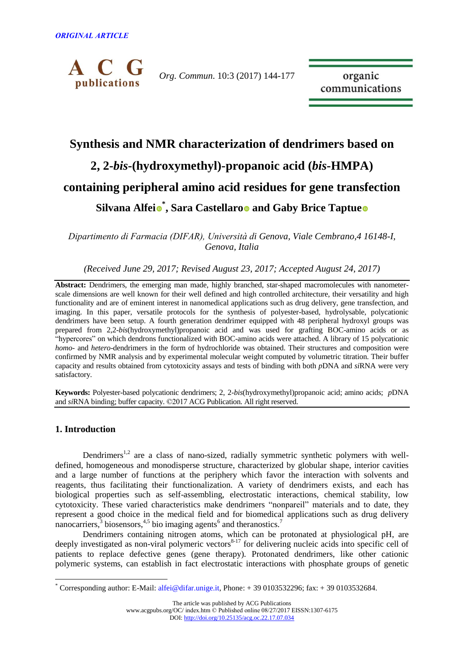

*Org. Commun*. 10:3 (2017) 144-177

organic communications

# **Synthesis and NMR characterization of dendrimers based on 2, 2-***bis***-(hydroxymethyl)-propanoic acid (***bis***-HMPA) containing peripheral amino acid residues for gene transfection Silvana Alfei \* , Sara Castellaro and Gaby Brice Taptue**

*Dipartimento di Farmacia (DIFAR), Università di Genova, Viale Cembrano,4 16148-I, Genova, Italia*

*(Received June 29, 2017; Revised August 23, 2017; Accepted August 24, 2017)*

**Abstract:** Dendrimers, the emerging man made, highly branched, star-shaped macromolecules with nanometerscale dimensions are well known for their well defined and high controlled architecture, their versatility and high functionality and are of eminent interest in nanomedical applications such as drug delivery, gene transfection, and imaging. In this paper, versatile protocols for the synthesis of polyester-based, hydrolysable, polycationic dendrimers have been setup. A fourth generation dendrimer equipped with 48 peripheral hydroxyl groups was prepared from 2,2-*bis*(hydroxymethyl)propanoic acid and was used for grafting BOC-amino acids or as "hypercores" on which dendrons functionalized with BOC-amino acids were attached. A library of 15 polycationic *homo-* and *hetero*-dendrimers in the form of hydrochloride was obtained. Their structures and composition were confirmed by NMR analysis and by experimental molecular weight computed by volumetric titration. Their buffer capacity and results obtained from cytotoxicity assays and tests of binding with both *p*DNA and *si*RNA were very satisfactory.

**Keywords:** Polyester-based polycationic dendrimers; 2, 2-*bis*(hydroxymethyl)propanoic acid; amino acids; *p*DNA and *si*RNA binding; buffer capacity. ©2017 ACG Publication. All right reserved.

# **1. Introduction**

 $\overline{a}$ 

Dendrimers<sup>1,2</sup> are a class of nano-sized, radially symmetric synthetic polymers with welldefined, homogeneous and monodisperse structure, characterized by globular shape, interior cavities and a large number of functions at the periphery which favor the interaction with solvents and reagents, thus facilitating their functionalization. A variety of dendrimers exists, and each has biological properties such as self-assembling, electrostatic interactions, chemical stability, low cytotoxicity. These varied characteristics make dendrimers "nonpareil" materials and to date, they represent a good choice in the medical field and for biomedical applications such as drug delivery nanocarriers,  $3$  biosensors,  $4.5$  bio imaging agents<sup>6</sup> and theranostics.<sup>7</sup>

Dendrimers containing nitrogen atoms, which can be protonated at physiological pH, are deeply investigated as non-viral polymeric vectors<sup>8-17</sup> for delivering nucleic acids into specific cell of patients to replace defective genes (gene therapy). Protonated dendrimers, like other cationic polymeric systems, can establish in fact electrostatic interactions with phosphate groups of genetic

The article was published by ACG Publications

 $*$  Corresponding author: E-Mail: [alfei@difar.unige.it,](mailto:alfei@difar.unige.it) Phone:  $+390103532296$ ; fax:  $+390103532684$ .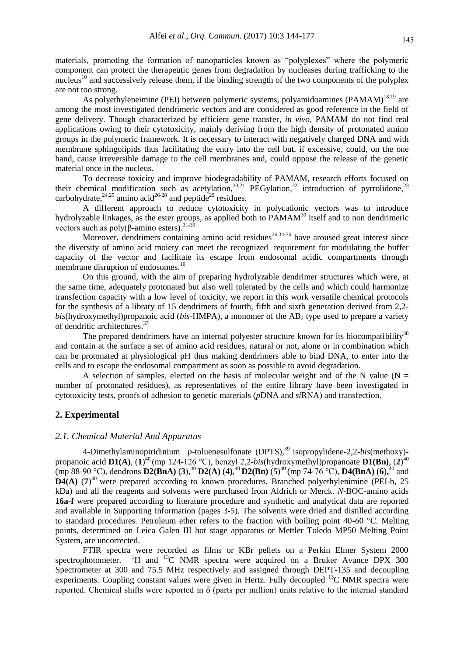materials, promoting the formation of nanoparticles known as "polyplexes" where the polymeric component can protect the therapeutic genes from degradation by nucleases during trafficking to the nucleus<sup>10</sup> and successively release them, if the binding strength of the two components of the polyplex are not too strong.

As polyethyleneimine (PEI) between polymeric systems, polyamidoamines (PAMAM)<sup>18,19</sup> are among the most investigated dendrimeric vectors and are considered as good reference in the field of gene delivery. Though characterized by efficient gene transfer, *in vivo*, PAMAM do not find real applications owing to their cytotoxicity, mainly deriving from the high density of protonated amino groups in the polymeric framework. It is necessary to interact with negatively charged DNA and with membrane sphingolipids thus facilitating the entry into the cell but, if excessive, could, on the one hand, cause irreversible damage to the cell membranes and, could oppose the release of the genetic material once in the nucleus.

To decrease toxicity and improve biodegradability of PAMAM, research efforts focused on their chemical modification such as acetylation,<sup>20,21</sup> PEGylation,<sup>22</sup> introduction of pyrrolidone,<sup>23</sup> carbohydrate,<sup>24,25</sup> amino acid<sup>26-28</sup> and peptide<sup>29</sup> residues.

A different approach to reduce cytotoxicity in polycationic vectors was to introduce hydrolyzable linkages, as the ester groups, as applied both to  $PAMAM<sup>30</sup>$  itself and to non dendrimeric vectors such as  $poly(β\text{-}amino\text{ esters})$ .<sup>31-33</sup>

Moreover, dendrimers containing amino acid residues<sup>26,34-36</sup> have aroused great interest since the diversity of amino acid moiety can meet the recognized requirement for modulating the buffer capacity of the vector and facilitate its escape from endosomal acidic compartments through membrane disruption of endosomes.<sup>10</sup>

On this ground, with the aim of preparing hydrolyzable dendrimer structures which were, at the same time, adequately protonated but also well tolerated by the cells and which could harmonize transfection capacity with a low level of toxicity, we report in this work versatile chemical protocols for the synthesis of a library of 15 dendrimers of fourth, fifth and sixth generation derived from 2,2  $b$ is(hydroxymethyl)propanoic acid ( $b$ is-HMPA), a monomer of the  $AB_2$  type used to prepare a variety of dendritic architectures.<sup>37</sup>

The prepared dendrimers have an internal polyester structure known for its biocompatibility<sup>38</sup> and contain at the surface a set of amino acid residues, natural or not, alone or in combination which can be protonated at physiological pH thus making dendrimers able to bind DNA, to enter into the cells and to escape the endosomal compartment as soon as possible to avoid degradation.

A selection of samples, elected on the basis of molecular weight and of the N value ( $N =$ number of protonated residues), as representatives of the entire library have been investigated in cytotoxicity tests, proofs of adhesion to genetic materials (*p*DNA and *si*RNA) and transfection.

# **2. Experimental**

# *2.1. Chemical Material And Apparatus*

4-Dimethylaminopiridinium p-toluenesulfonate (DPTS),<sup>39</sup> isopropylidene-2,2-bis(methoxy)propanoic acid **D1(A)**, (**1**) <sup>40</sup> (mp 124-126 °C), benzyl 2,2-*bis*(hydroxymethyl)propanoate **D1(Bn)**, (**2**) 40  $(\text{mp } 88\text{-}90 \text{ °C})$ , dendrons  $\text{D2(BnA)}$  (3),<sup>40</sup>  $\text{D2(A)}$  (4),<sup>40</sup>  $\text{D2(Bn)}$  (5)<sup>40</sup> (mp 74-76 °C),  $\text{D4(BnA)}$  (6),<sup>40</sup> and  $\mathbf{D4(A)}$  (7)<sup>40</sup> were prepared according to known procedures. Branched polyethylenimine (PEI-b, 25) kDa) and all the reagents and solvents were purchased from Aldrich or Merck. *N*-BOC-amino acids **16a-f** were prepared according to literature procedure and synthetic and analytical data are reported and available in Supporting Information (pages 3-5). The solvents were dried and distilled according to standard procedures. Petroleum ether refers to the fraction with boiling point 40-60 °C. Melting points, determined on Leica Galen III hot stage apparatus or Mettler Toledo MP50 Melting Point System, are uncorrected.

FTIR spectra were recorded as films or KBr pellets on a Perkin Elmer System 2000 spectrophotometer. <sup>1</sup>H and <sup>13</sup>C NMR spectra were acquired on a Bruker Avance DPX 300 Spectrometer at 300 and 75.5 MHz respectively and assigned through DEPT-135 and decoupling experiments. Coupling constant values were given in Hertz. Fully decoupled <sup>13</sup>C NMR spectra were reported. Chemical shifts were reported in δ (parts per million) units relative to the internal standard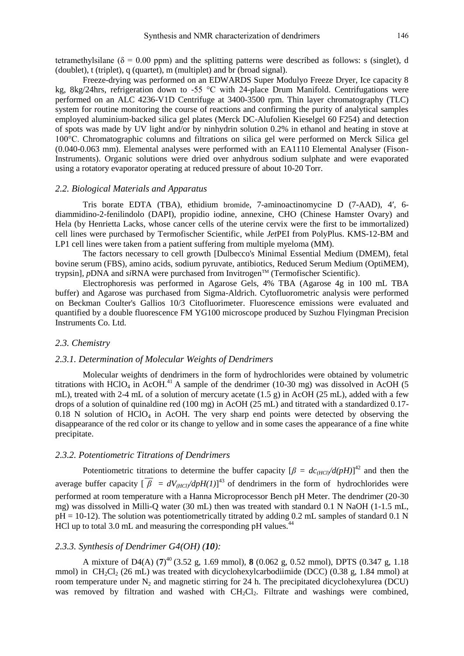tetramethylsilane ( $\delta = 0.00$  ppm) and the splitting patterns were described as follows: s (singlet), d (doublet), t (triplet), q (quartet), m (multiplet) and br (broad signal).

Freeze-drying was performed on an EDWARDS Super Modulyo Freeze Dryer, Ice capacity 8 kg, 8kg/24hrs, refrigeration down to -55 °C with 24-place Drum Manifold. Centrifugations were performed on an ALC 4236-V1D Centrifuge at 3400-3500 rpm. Thin layer chromatography (TLC) system for routine monitoring the course of reactions and confirming the purity of analytical samples employed aluminium-backed silica gel plates (Merck DC-Alufolien Kieselgel 60 F254) and detection of spots was made by UV light and/or by ninhydrin solution 0.2% in ethanol and heating in stove at 100°C. Chromatographic columns and filtrations on silica gel were performed on Merck Silica gel (0.040-0.063 mm). Elemental analyses were performed with an EA1110 Elemental Analyser (Fison-Instruments). Organic solutions were dried over anhydrous sodium sulphate and were evaporated using a rotatory evaporator operating at reduced pressure of about 10-20 Torr.

## *2.2. Biological Materials and Apparatus*

Tris borate EDTA (TBA), ethidium bromide, 7-aminoactinomycine D (7-AAD), 4′, 6 diammidino-2-fenilindolo (DAPI), propidio iodine, annexine, CHO (Chinese Hamster Ovary) and Hela (by Henrietta Lacks, whose cancer cells of the uterine cervix were the first to be immortalized) cell lines were purchased by Termofischer Scientific, while *Jet*PEI from PolyPlus. KMS-12-BM and LP1 cell lines were taken from a patient suffering from multiple myeloma (MM).

The factors necessary to cell growth [Dulbecco's Minimal Essential Medium (DMEM), fetal bovine serum (FBS), amino acids, sodium pyruvate, antibiotics, Reduced Serum Medium (OptiMEM), trypsin], *p*DNA and *siRNA* were purchased from Invitrogen™ (Termofischer Scientific).

Electrophoresis was performed in Agarose Gels, 4% TBA (Agarose 4g in 100 mL TBA buffer) and Agarose was purchased from Sigma-Aldrich. Cytofluorometric analysis were performed on Beckman Coulter's Gallios 10/3 Citofluorimeter. Fluorescence emissions were evaluated and quantified by a double fluorescence FM YG100 microscope produced by Suzhou Flyingman Precision Instruments Co. Ltd.

#### *2.3. Chemistry*

#### *2.3.1. Determination of Molecular Weights of Dendrimers*

Molecular weights of dendrimers in the form of hydrochlorides were obtained by volumetric titrations with HClO<sub>4</sub> in AcOH.<sup>41</sup> A sample of the dendrimer (10-30 mg) was dissolved in AcOH (5 mL), treated with 2-4 mL of a solution of mercury acetate (1.5 g) in AcOH (25 mL), added with a few drops of a solution of quinaldine red (100 mg) in AcOH (25 mL) and titrated with a standardized 0.17- 0.18 N solution of HClO<sub>4</sub> in AcOH. The very sharp end points were detected by observing the disappearance of the red color or its change to yellow and in some cases the appearance of a fine white precipitate.

#### *2.3.2. Potentiometric Titrations of Dendrimers*

Potentiometric titrations to determine the buffer capacity  $\left[\beta = dc_{(HC)}/d(pH)\right]^{42}$  and then the average buffer capacity  $\left[\overline{\beta}\right] = dV_{(HC)/} \left(dpH(1)\right)^{43}$  of dendrimers in the form of hydrochlorides were performed at room temperature with a Hanna Microprocessor Bench pH Meter. The dendrimer (20-30 mg) was dissolved in Milli-Q water (30 mL) then was treated with standard 0.1 N NaOH (1-1.5 mL,  $pH = 10-12$ ). The solution was potentiometrically titrated by adding 0.2 mL samples of standard 0.1 N HCl up to total 3.0 mL and measuring the corresponding  $pH$  values.<sup>44</sup>

# *2.3.3. Synthesis of Dendrimer G4(OH) (10):*

A mixture of D4(A) (**7**) <sup>40</sup> (3.52 g, 1.69 mmol), **8** (0.062 g, 0.52 mmol), DPTS (0.347 g, 1.18 mmol) in  $CH_2Cl_2$  (26 mL) was treated with dicyclohexylcarbodiimide (DCC) (0.38 g, 1.84 mmol) at room temperature under  $N_2$  and magnetic stirring for 24 h. The precipitated dicyclohexylurea (DCU) was removed by filtration and washed with CH<sub>2</sub>Cl<sub>2</sub>. Filtrate and washings were combined,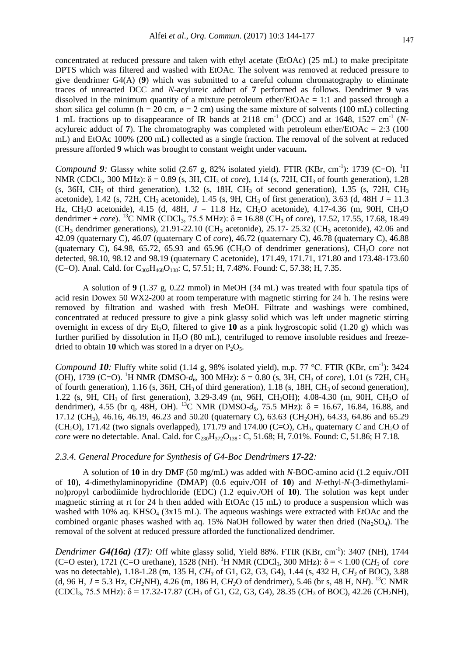concentrated at reduced pressure and taken with ethyl acetate (EtOAc) (25 mL) to make precipitate DPTS which was filtered and washed with EtOAc. The solvent was removed at reduced pressure to give dendrimer G4(A) (**9**) which was submitted to a careful column chromatography to eliminate traces of unreacted DCC and *N*-acylureic adduct of **7** performed as follows. Dendrimer **9** was dissolved in the minimum quantity of a mixture petroleum ether/ $EtOAc = 1:1$  and passed through a short silica gel column (h = 20 cm,  $\varnothing$  = 2 cm) using the same mixture of solvents (100 mL) collecting 1 mL fractions up to disappearance of IR bands at 2118 cm<sup>-1</sup> (DCC) and at 1648, 1527 cm<sup>-1</sup> (Nacylureic adduct of **7**). The chromatography was completed with petroleum ether/EtOAc = 2:3 (100) mL) and EtOAc 100% (200 mL) collected as a single fraction. The removal of the solvent at reduced pressure afforded **9** which was brought to constant weight under vacuum**.**

*Compound 9:* Glassy white solid (2.67 g, 82% isolated yield). FTIR (KBr, cm<sup>-1</sup>): 1739 (C=O). <sup>1</sup>H NMR (CDCl<sub>3</sub>, 300 MHz): δ = 0.89 (s, 3H, CH<sub>3</sub> of *core*), 1.14 (s, 72H, CH<sub>3</sub> of fourth generation), 1.28 (s, 36H, CH<sub>3</sub> of third generation), 1.32 (s, 18H, CH<sub>3</sub> of second generation), 1.35 (s, 72H, CH<sub>3</sub> acetonide), 1.42 (s, 72H, CH<sub>3</sub> acetonide), 1.45 (s, 9H, CH<sub>3</sub> of first generation), 3.63 (d, 48H  $J = 11.3$ ) Hz, CH<sub>2</sub>O acetonide), 4.15 (d, 48H,  $J = 11.8$  Hz, CH<sub>2</sub>O acetonide), 4.17-4.36 (m, 90H, CH<sub>2</sub>O dendrimer + *core*). <sup>13</sup>C NMR (CDCl<sub>3</sub>, 75.5 MHz):  $\delta$  = 16.88 (CH<sub>3</sub> of *core*), 17.52, 17.55, 17.68, 18.49  $(CH<sub>3</sub>$  dendrimer generations), 21.91-22.10 (CH<sub>3</sub> acetonide), 25.17- 25.32 (CH<sub>3</sub> acetonide), 42.06 and 42.09 (quaternary C), 46.07 (quaternary C of *core*), 46.72 (quaternary C), 46.78 (quaternary C), 46.88 (quaternary C),  $64.98$ ,  $65.72$ ,  $65.93$  and  $65.96$  (CH<sub>2</sub>O of dendrimer generations), CH<sub>2</sub>O *core* not detected, 98.10, 98.12 and 98.19 (quaternary C acetonide), 171.49, 171.71, 171.80 and 173.48-173.60 (C=O). Anal. Cald. for  $C_{302}H_{468}O_{138}$ : C, 57.51; H, 7.48%. Found: C, 57.38; H, 7.35.

A solution of **9** (1.37 g, 0.22 mmol) in MeOH (34 mL) was treated with four spatula tips of acid resin Dowex 50 WX2-200 at room temperature with magnetic stirring for 24 h. The resins were removed by filtration and washed with fresh MeOH. Filtrate and washings were combined, concentrated at reduced pressure to give a pink glassy solid which was left under magnetic stirring overnight in excess of dry Et<sub>2</sub>O, filtered to give **10** as a pink hygroscopic solid (1.20 g) which was further purified by dissolution in  $H<sub>2</sub>O$  (80 mL), centrifuged to remove insoluble residues and freezedried to obtain **10** which was stored in a dryer on  $P_2O_5$ .

*Compound 10:* Fluffy white solid (1.14 g, 98% isolated yield), m.p. 77 °C. FTIR (KBr, cm<sup>-1</sup>): 3424 (OH), 1739 (C=O). <sup>1</sup>H NMR (DMSO- $d_6$ , 300 MHz):  $\delta = 0.80$  (s, 3H, CH<sub>3</sub> of *core*), 1.01 (s 72H, CH<sub>3</sub> of fourth generation),  $1.16$  (s,  $36H$ ,  $CH_3$  of third generation),  $1.18$  (s,  $18H$ ,  $CH_3$  of second generation), 1.22 (s, 9H, CH<sub>3</sub> of first generation), 3.29-3.49 (m, 96H, CH<sub>2</sub>OH); 4.08-4.30 (m, 90H, CH<sub>2</sub>O of dendrimer), 4.55 (br q, 48H, OH). <sup>13</sup>C NMR (DMSO- $d_6$ , 75.5 MHz):  $\delta = 16.67$ , 16.84, 16.88, and 17.12 (CH<sub>3</sub>), 46.16, 46.19, 46.23 and 50.20 (quaternary C), 63.63 (CH<sub>2</sub>OH), 64.33, 64.86 and 65.29 (CH<sub>2</sub>O), 171.42 (two signals overlapped), 171.79 and 174.00 (C=O),  $CH_3$ , quaternary *C* and *CH<sub>2</sub>O* of *core* were no detectable. Anal. Cald. for C<sub>230</sub>H<sub>372</sub>O<sub>138</sub>: C, 51.68; H, 7.01%. Found: C, 51.86; H 7.18.

# *2.3.4. General Procedure for Synthesis of G4-Boc Dendrimers 17-22:*

A solution of **10** in dry DMF (50 mg/mL) was added with *N*-BOC-amino acid (1.2 equiv./OH of **10**), 4-dimethylaminopyridine (DMAP) (0.6 equiv./OH of **10**) and *N*-ethyl-*N*-(3-dimethylamino)propyl carbodiimide hydrochloride (EDC) (1.2 equiv./OH of **10**). The solution was kept under magnetic stirring at rt for 24 h then added with EtOAc (15 mL) to produce a suspension which was washed with 10% aq. KHSO<sub>4</sub> (3x15 mL). The aqueous washings were extracted with EtOAc and the combined organic phases washed with aq. 15% NaOH followed by water then dried (Na<sub>2</sub>SO<sub>4</sub>). The removal of the solvent at reduced pressure afforded the functionalized dendrimer.

*Dendrimer G4(16a) (17):* Off white glassy solid, Yield 88%. FTIR (KBr, cm<sup>-1</sup>): 3407 (NH), 1744 (C=O ester), 1721 (C=O urethane), 1528 (NH). <sup>1</sup>H NMR (CDCl<sub>3</sub>, 300 MHz):  $\delta$  = < 1.00 (CH<sub>3</sub> of *core* was no detectable), 1.18-1.28 (m, 135 H, *CH<sup>3</sup>* of G1, G2, G3, G4), 1.44 (s, 432 H, C*H<sup>3</sup>* of BOC), 3.88 (d, 96 H,  $J = 5.3$  Hz, CH<sub>2</sub>NH), 4.26 (m, 186 H, CH<sub>2</sub>O of dendrimer), 5.46 (br s, 48 H, NH). <sup>13</sup>C NMR  $(CDCl_3, 75.5 MHz)$ :  $\delta = 17.32-17.87$   $(CH_3$  of G1, G2, G3, G4), 28.35  $(CH_3$  of BOC), 42.26  $(CH_2NH)$ ,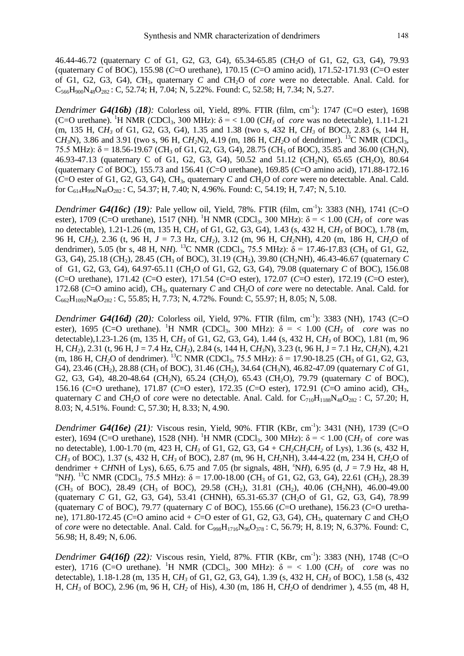46.44-46.72 (quaternary *C* of G1, G2, G3, G4), 65.34-65.85 (*C*H2O of G1, G2, G3, G4), 79.93 (quaternary *C* of BOC), 155.98 (*C*=O urethane), 170.15 (*C*=O amino acid), 171.52-171.93 (*C*=O ester of G1, G2, G3, G4), *C*H3, quaternary *C* and *C*H2O of *core* were no detectable. Anal. Cald. for  $C_{566}H_{900}N_{48}O_{282}$ : C, 52.74; H, 7.04; N, 5.22%. Found: C, 52.58; H, 7.34; N, 5.27.

*Dendrimer G4(16b) (18):* Colorless oil, Yield, 89%. FTIR (film, cm<sup>-1</sup>): 1747 (C=O ester), 1698 (C=O urethane). <sup>1</sup>H NMR (CDCl<sub>3</sub>, 300 MHz):  $\delta$  = < 1.00 (CH<sub>3</sub> of *core* was no detectable), 1.11-1.21 (m, 135 H, C*H<sup>3</sup>* of G1, G2, G3, G4), 1.35 and 1.38 (two s, 432 H, C*H<sup>3</sup>* of BOC), 2.83 (s, 144 H, CH<sub>3</sub>N), 3.86 and 3.91 (two s, 96 H, CH<sub>2</sub>N), 4.19 (m, 186 H, CH<sub>2</sub>O of dendrimer). <sup>13</sup>C NMR (CDCl<sub>3</sub>, 75.5 MHz):  $δ = 18.56-19.67$  (*CH*<sub>3</sub> of G1, G2, G3, G4), 28.75 (*CH*<sub>3</sub> of BOC), 35.85 and 36.00 (*CH*<sub>3</sub>N), 46.93-47.13 (quaternary C of G1, G2, G3, G4), 50.52 and 51.12 (*C*H2N), 65.65 (*C*H2O), 80.64 (quaternary *C* of BOC), 155.73 and 156.41 (*C*=O urethane), 169.85 (*C*=O amino acid), 171.88-172.16 (*C*=O ester of G1, G2, G3, G4), *C*H3, quaternary *C* and *C*H2O of *core* were no detectable. Anal. Cald. for  $C_{614}H_{996}N_{48}O_{282}$ : C, 54.37; H, 7.40; N, 4.96%. Found: C, 54.19; H, 7.47; N, 5.10.

*Dendrimer G4(16c) (19):* Pale yellow oil, Yield, 78%. FTIR (film, cm<sup>-1</sup>): 3383 (NH), 1741 (C=O ester), 1709 (C=O urethane), 1517 (NH). <sup>1</sup>H NMR (CDCl<sub>3</sub>, 300 MHz):  $\delta$  = < 1.00 (CH<sub>3</sub> of *core* was no detectable), 1.21-1.26 (m, 135 H, C*H<sup>3</sup>* of G1, G2, G3, G4), 1.43 (s, 432 H, C*H<sup>3</sup>* of BOC), 1.78 (m, 96 H, C*H2*), 2.36 (t, 96 H, *J* = 7.3 Hz, C*H2*), 3.12 (m, 96 H, C*H2*NH), 4.20 (m, 186 H, C*H2*O of dendrimer), 5.05 (br s, 48 H, NH). <sup>13</sup>C NMR (CDCl<sub>3</sub>, 75.5 MHz):  $\delta$  = 17.46-17.83 (CH<sub>3</sub> of G1, G2, G3, G4), 25.18 (*C*H<sub>2</sub>), 28.45 (*C*H<sub>3</sub> of BOC), 31.19 (*C*H<sub>2</sub>), 39.80 (*CH<sub>2</sub>NH*), 46.43-46.67 (quaternary *C*) of G1, G2, G3, G4), 64.97-65.11 (*C*H2O of G1, G2, G3, G4), 79.08 (quaternary *C* of BOC), 156.08 (*C*=O urethane), 171.42 (*C*=O ester), 171.54 (*C*=O ester), 172.07 (*C*=O ester), 172.19 (*C*=O ester), 172.68 (*C*=O amino acid), *C*H3, quaternary *C* and *C*H2O of *core* were no detectable. Anal. Cald. for  $C_{662}H_{1092}N_{48}O_{282}$ : C, 55.85; H, 7.73; N, 4.72%. Found: C, 55.97; H, 8.05; N, 5.08.

*Dendrimer G4(16d) (20):* Colorless oil, Yield, 97%. FTIR (film, cm-1 ): 3383 (NH), 1743 (C=O ester), 1695 (C=O urethane). <sup>1</sup>H NMR (CDCl<sub>3</sub>, 300 MHz):  $\delta$  = < 1.00 (CH<sub>3</sub> of *core* was no detectable),1.23-1.26 (m, 135 H, C*H<sup>3</sup>* of G1, G2, G3, G4), 1.44 (s, 432 H, C*H<sup>3</sup>* of BOC), 1.81 (m, 96 H, C*H2*), 2.31 (t, 96 H, J = 7.4 Hz, C*H2*), 2.84 (s, 144 H, C*H3*N), 3.23 (t, 96 H, J = 7.1 Hz, C*H2*N), 4.21 (m, 186 H, CH<sub>2</sub>O of dendrimer). <sup>13</sup>C NMR (CDCl<sub>3</sub>, 75.5 MHz):  $\delta$  = 17.90-18.25 (CH<sub>3</sub> of G1, G2, G3, G4), 23.46 (CH<sub>2</sub>), 28.88 (CH<sub>3</sub> of BOC), 31.46 (CH<sub>2</sub>), 34.64 (CH<sub>3</sub>N), 46.82-47.09 (quaternary *C* of G1, G2, G3, G4), 48.20-48.64 (*CH<sub>2</sub>N*), 65.24 (*CH<sub>2</sub>O*), 65.43 (*CH<sub>2</sub>O*), 79.79 (quaternary *C* of BOC), 156.16 (*C*=O urethane), 171.87 (*C*=O ester), 172.35 (*C*=O ester), 172.91 (*C*=O amino acid), *C*H3, quaternary *C* and *CH*<sub>2</sub>O of *core* were no detectable. Anal. Cald. for  $C_{710}H_{1188}N_{48}O_{282}$ : C, 57.20; H, 8.03; N, 4.51%. Found: C, 57.30; H, 8.33; N, 4.90.

*Dendrimer G4(16e)* (21): Viscous resin, Yield, 90%. FTIR (KBr, cm<sup>-1</sup>): 3431 (NH), 1739 (C=O ester), 1694 (C=O urethane), 1528 (NH). <sup>1</sup>H NMR (CDCl<sub>3</sub>, 300 MHz):  $\delta$  = < 1.00 (CH<sub>3</sub> of *core* was no detectable), 1.00-1.70 (m, 423 H, C*H<sup>3</sup>* of G1, G2, G3, G4 + C*H2*C*H2*C*H<sup>2</sup>* of Lys), 1.36 (s, 432 H, C*H<sup>3</sup>* of BOC), 1.37 (s, 432 H, C*H<sup>3</sup>* of BOC), 2.87 (m, 96 H, C*H2*NH), 3.44-4.22 (m, 234 H, C*H2*O of dendrimer + CHNH of Lys), 6.65, 6.75 and 7.05 (br signals, 48H,  ${}^{\circ}$ NH), 6.95 (d, *J* = 7.9 Hz, 48 H, <sup>a</sup>NH). <sup>13</sup>C NMR (CDCl<sub>3</sub>, 75.5 MHz):  $\delta$  = 17.00-18.00 (*C*H<sub>3</sub> of G1, G2, G3, G4), 22.61 (*C*H<sub>2</sub>), 28.39 (*C*H3 of BOC), 28.49 (*C*H3 of BOC), 29.58 (*C*H2), 31.81 (*C*H2), 40.06 (*C*H2NH), 46.00-49.00 (quaternary *C* G1, G2, G3, G4), 53.41 (*C*HNH), 65.31-65.37 (*C*H2O of G1, G2, G3, G4), 78.99 (quaternary *C* of BOC), 79.77 (quaternary *C* of BOC), 155.66 (*C*=O urethane), 156.23 (*C*=O urethane), 171.80-172.45 (*C*=O amino acid + *C*=O ester of G1, G2, G3, G4), *C*H3, quaternary *C* and *C*H2O of *core* were no detectable. Anal. Cald. for  $C_{998}H_{1716}N_{96}O_{378}$ : C, 56.79; H, 8.19; N, 6.37%. Found: C, 56.98; H, 8.49; N, 6.06.

*Dendrimer G4(16f) (22):* Viscous resin, Yield, 87%. FTIR (KBr, cm-1 ): 3383 (NH), 1748 (C=O ester), 1716 (C=O urethane). <sup>1</sup>H NMR (CDCl<sub>3</sub>, 300 MHz):  $\delta$  = < 1.00 (CH<sub>3</sub> of *core* was no detectable), 1.18-1.28 (m, 135 H, C*H<sup>3</sup>* of G1, G2, G3, G4), 1.39 (s, 432 H, C*H<sup>3</sup>* of BOC), 1.58 (s, 432 H, C*H<sup>3</sup>* of BOC), 2.96 (m, 96 H, C*H<sup>2</sup>* of His), 4.30 (m, 186 H, C*H2*O of dendrimer ), 4.55 (m, 48 H,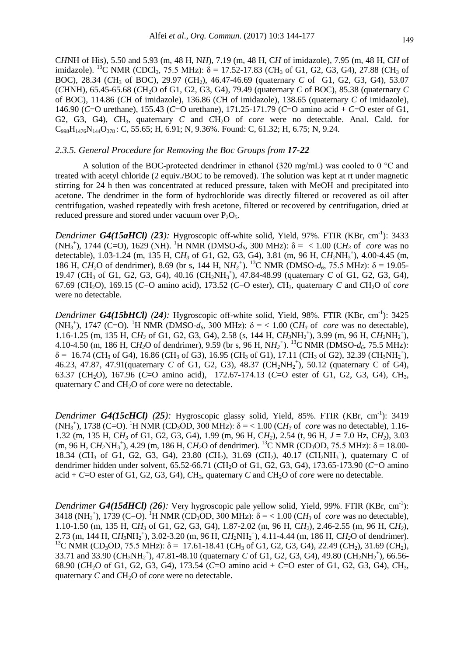C*H*NH of His), 5.50 and 5.93 (m, 48 H, N*H*), 7.19 (m, 48 H, C*H* of imidazole), 7.95 (m, 48 H, C*H* of imidazole). <sup>13</sup>C NMR (CDCl<sub>3</sub>, 75.5 MHz):  $\delta$  = 17.52-17.83 (CH<sub>3</sub> of G1, G2, G3, G4), 27.88 (CH<sub>3</sub> of BOC), 28.34 (CH<sub>3</sub> of BOC), 29.97 (CH<sub>2</sub>), 46.47-46.69 (quaternary *C* of G1, G2, G3, G4), 53.07 (*C*HNH), 65.45-65.68 (*C*H2O of G1, G2, G3, G4), 79.49 (quaternary *C* of BOC), 85.38 (quaternary *C* of BOC), 114.86 (*C*H of imidazole), 136.86 (*C*H of imidazole), 138.65 (quaternary *C* of imidazole), 146.90 (*C*=O urethane), 155.43 (*C*=O urethane), 171.25-171.79 (*C*=O amino acid + *C*=O ester of G1, G2, G3, G4), *C*H3, quaternary *C* and *C*H2O of *core* were no detectable. Anal. Cald. for  $C_{998}H_{1476}N_{144}O_{378}$ ; C, 55.65; H, 6.91; N, 9.36%. Found: C, 61.32; H, 6.75; N, 9.24.

## *2.3.5. General Procedure for Removing the Boc Groups from 17-22*

A solution of the BOC-protected dendrimer in ethanol (320 mg/mL) was cooled to 0 °C and treated with acetyl chloride (2 equiv./BOC to be removed). The solution was kept at rt under magnetic stirring for 24 h then was concentrated at reduced pressure, taken with MeOH and precipitated into acetone. The dendrimer in the form of hydrochloride was directly filtered or recovered as oil after centrifugation, washed repeatedly with fresh acetone, filtered or recovered by centrifugation, dried at reduced pressure and stored under vacuum over  $P_2O_5$ .

*Dendrimer G4(15aHCl) (23):* Hygroscopic off-white solid, Yield, 97%. FTIR (KBr, cm<sup>-1</sup>): 3433 (NH<sub>3</sub><sup>+</sup>), 1744 (C=O), 1629 (NH). <sup>1</sup>H NMR (DMSO- $d_6$ , 300 MHz): δ = < 1.00 (CH<sub>3</sub> of *core* was no detectable), 1.03-1.24 (m, 135 H, C*H<sup>3</sup>* of G1, G2, G3, G4), 3.81 (m, 96 H, C*H2*NH<sup>3</sup> + ), 4.00-4.45 (m, 186 H, CH<sub>2</sub>O of dendrimer), 8.69 (br s, 144 H, NH<sub>3</sub><sup>+</sup>). <sup>13</sup>C NMR (DMSO- $d_6$ , 75.5 MHz): δ = 19.05-19.47 (CH<sub>3</sub> of G1, G2, G3, G4), 40.16 (CH<sub>2</sub>NH<sub>3</sub><sup>+</sup>), 47.84-48.99 (quaternary *C* of G1, G2, G3, G4), 67.69 (*C*H2O), 169.15 (*C*=O amino acid), 173.52 (*C*=O ester), *C*H3, quaternary *C* and *C*H2O of *core* were no detectable.

*Dendrimer G4(15bHCl) (24):* Hygroscopic off-white solid, Yield, 98%. FTIR (KBr, cm<sup>-1</sup>): 3425 (NH<sub>3</sub><sup>+</sup>), 1747 (C=O). <sup>1</sup>H NMR (DMSO- $d_6$ , 300 MHz):  $\delta$  = < 1.00 (CH<sub>3</sub> of *core* was no detectable), 1.16-1.25 (m, 135 H, CH<sub>3</sub> of G1, G2, G3, G4), 2.58 (s, 144 H, CH<sub>3</sub>NH<sub>2</sub><sup>+</sup>), 3.99 (m, 96 H, CH<sub>2</sub>NH<sub>2</sub><sup>+</sup>), 4.10-4.50 (m, 186 H, C*H2*O of dendrimer), 9.59 (br s, 96 H, N*H<sup>2</sup> +* ). <sup>13</sup>C NMR (DMSO-*d6*, 75.5 MHz):  $\delta$  = 16.74 (*C*H<sub>3</sub> of G4), 16.86 (*C*H<sub>3</sub> of G3), 16.95 (*C*H<sub>3</sub> of G1), 17.11 (*C*H<sub>3</sub> of G2), 32.39 (*C*H<sub>3</sub>NH<sub>2</sub><sup>+</sup>), 46.23, 47.87, 47.91(quaternary *C* of G1, G2, G3), 48.37 (CH<sub>2</sub>NH<sub>2</sub><sup>+</sup>), 50.12 (quaternary C of G4), 63.37 (*C*H2O), 167.96 (*C*=O amino acid), 172.67-174.13 (*C*=O ester of G1, G2, G3, G4), *C*H3, quaternary *C* and *CH*<sub>2</sub>O of *core* were no detectable.

*Dendrimer G4(15cHCl) (25):* Hygroscopic glassy solid, Yield, 85%. FTIR (KBr, cm<sup>-1</sup>): 3419 (NH<sub>3</sub><sup>+</sup>), 1738 (C=O). <sup>1</sup>H NMR (CD<sub>3</sub>OD, 300 MHz):  $\delta$  = < 1.00 (CH<sub>3</sub> of *core* was no detectable), 1.16-1.32 (m, 135 H, C*H<sup>3</sup>* of G1, G2, G3, G4), 1.99 (m, 96 H, C*H2*), 2.54 (t, 96 H, *J* = 7.0 Hz, C*H2*), 3.03 (m, 96 H, CH<sub>2</sub>NH<sub>3</sub><sup>+</sup>), 4.29 (m, 186 H, CH<sub>2</sub>O of dendrimer). <sup>13</sup>C NMR (CD<sub>3</sub>OD, 75.5 MHz):  $\delta$  = 18.00-18.34 (CH<sub>3</sub> of G1, G2, G3, G4), 23.80 (CH<sub>2</sub>), 31.69 (CH<sub>2</sub>), 40.17 (CH<sub>2</sub>NH<sub>3</sub><sup>+</sup>), quaternary C of dendrimer hidden under solvent, 65.52-66.71 (*CH*<sub>2</sub>O of G1, G2, G3, G4), 173.65-173.90 (*C*=O amino acid + *C*=O ester of G1, G2, G3, G4), *C*H3, quaternary *C* and *C*H2O of *core* were no detectable.

*Dendrimer G4(15dHCl)* (26): Very hygroscopic pale yellow solid, Yield, 99%. FTIR (KBr, cm<sup>-1</sup>): 3418 (NH<sub>3</sub><sup>+</sup>), 1739 (C=O). <sup>1</sup>H NMR (CD<sub>3</sub>OD, 300 MHz):  $\delta$  = < 1.00 (CH<sub>3</sub> of *core* was no detectable), 1.10-1.50 (m, 135 H, C*H<sup>3</sup>* of G1, G2, G3, G4), 1.87-2.02 (m, 96 H, C*H2*), 2.46-2.55 (m, 96 H, C*H2*), 2.73 (m, 144 H, CH<sub>3</sub>NH<sub>2</sub><sup>+</sup>), 3.02-3.20 (m, 96 H, CH<sub>2</sub>NH<sub>2</sub><sup>+</sup>), 4.11-4.44 (m, 186 H, CH<sub>2</sub>O of dendrimer). <sup>13</sup>C NMR (CD<sub>3</sub>OD, 75.5 MHz): δ = 17.61-18.41 (CH<sub>3</sub> of G1, G2, G3, G4), 22.49 (CH<sub>2</sub>), 31.69 (CH<sub>2</sub>), 33.71 and 33.90 ( $CH_3NH_2^+$ ), 47.81-48.10 (quaternary *C* of G1, G2, G3, G4), 49.80 ( $CH_2NH_2^+$ ), 66.56-68.90 (*C*H2O of G1, G2, G3, G4), 173.54 (*C*=O amino acid + *C*=O ester of G1, G2, G3, G4), *C*H3, quaternary *C* and *CH*<sub>2</sub>O of *core* were no detectable.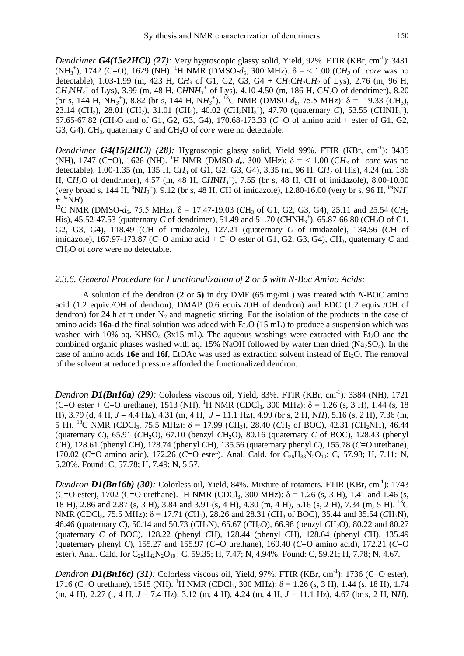*Dendrimer G4(15e2HCl) (27):* Very hygroscopic glassy solid, Yield, 92%. FTIR (KBr, cm-1 ): 3431 (NH<sub>3</sub><sup>+</sup>), 1742 (C=O), 1629 (NH). <sup>1</sup>H NMR (DMSO- $d_6$ , 300 MHz): δ = < 1.00 (CH<sub>3</sub> of *core* was no detectable), 1.03-1.99 (m, 423 H, C*H<sup>3</sup>* of G1, G2, G3, G4 + C*H2*C*H2*C*H<sup>2</sup>* of Lys), 2.76 (m, 96 H,  $CH_2NH_3^+$  of Lys), 3.99 (m, 48 H,  $CHNH_3^+$  of Lys), 4.10-4.50 (m, 186 H,  $CH_2O$  of dendrimer), 8.20 (br s, 144 H, N $H_3$ <sup>+</sup>), 8.82 (br s, 144 H, N $H_3$ <sup>+</sup>). <sup>13</sup>C NMR (DMSO- $d_6$ , 75.5 MHz):  $\delta$  = 19.33 (*C*H<sub>3</sub>), 23.14 ( $CH_2$ ), 28.01 ( $CH_2$ ), 31.01 ( $CH_2$ ), 40.02 ( $CH_2NH_3^+$ ), 47.70 (quaternary *C*), 53.55 ( $CHNH_3^+$ ), 67.65-67.82 (*C*H2O and of G1, G2, G3, G4), 170.68-173.33 (*C*=O of amino acid + ester of G1, G2, G3, G4), CH<sub>3</sub>, quaternary *C* and CH<sub>2</sub>O of *core* were no detectable.

*Dendrimer G4(15f2HCl) (28):* Hygroscopic glassy solid, Yield 99%. FTIR (KBr, cm<sup>-1</sup>): 3435 (NH), 1747 (C=O), 1626 (NH). <sup>1</sup>H NMR (DMSO- $d_6$ , 300 MHz):  $\delta$  = < 1.00 (CH<sub>3</sub> of *core* was no detectable), 1.00-1.35 (m, 135 H, C*H<sup>3</sup>* of G1, G2, G3, G4), 3.35 (m, 96 H, C*H<sup>2</sup>* of His), 4.24 (m, 186 H, C*H2*O of dendrimer), 4.57 (m, 48 H, C*H*N*H<sup>3</sup> +* ), 7.55 (br s, 48 H, *C*H of imidazole), 8.00-10.00 (very broad s, 144 H,  $^{0}NH_{3}^{+}$ ), 9.12 (br s, 48 H, CH of imidazole), 12.80-16.00 (very br s, 96 H,  $^{im}NH^{+}$  $+$   $^{im}NH$ ).

<sup>13</sup>C NMR (DMSO- $d_6$ , 75.5 MHz): δ = 17.47-19.03 (CH<sub>3</sub> of G1, G2, G3, G4), 25.11 and 25.54 (CH<sub>2</sub> His), 45.52-47.53 (quaternary *C* of dendrimer), 51.49 and 51.70 (*CHNH*<sub>3</sub><sup>+</sup>), 65.87-66.80 (*CH*<sub>2</sub>O of G1, G2, G3, G4), 118.49 (*C*H of imidazole), 127.21 (quaternary *C* of imidazole), 134.56 (*C*H of imidazole), 167.97-173.87 (*C*=O amino acid + *C*=O ester of G1, G2, G3, G4), *C*H3, quaternary *C* and *CH*<sub>2</sub>O of *core* were no detectable.

# *2.3.6. General Procedure for Functionalization of 2 or 5 with N-Boc Amino Acids:*

A solution of the dendron (**2** or **5)** in dry DMF (65 mg/mL) was treated with *N*-BOC amino acid (1.2 equiv./OH of dendron), DMAP (0.6 equiv./OH of dendron) and EDC (1.2 equiv./OH of dendron) for 24 h at rt under  $N_2$  and magnetic stirring. For the isolation of the products in the case of amino acids **16a-d** the final solution was added with Et<sub>2</sub>O (15 mL) to produce a suspension which was washed with 10% aq. KHSO<sub>4</sub> ( $3x15$  mL). The aqueous washings were extracted with Et<sub>2</sub>O and the combined organic phases washed with aq. 15% NaOH followed by water then dried  $(Na_2SO_4)$ . In the case of amino acids **16e** and **16f**, EtOAc was used as extraction solvent instead of Et<sub>2</sub>O. The removal of the solvent at reduced pressure afforded the functionalized dendron.

*Dendron D1(Bn16a) (29):* Colorless viscous oil, Yield, 83%. FTIR (KBr, cm-1 ): 3384 (NH), 1721 (C=O ester + C=O urethane), 1513 (NH). <sup>1</sup>H NMR (CDCl<sub>3</sub>, 300 MHz):  $\delta$  = 1.26 (s, 3 H), 1.44 (s, 18 H), 3.79 (d, 4 H, *J* = 4.4 Hz), 4.31 (m, 4 H, *J* = 11.1 Hz), 4.99 (br s, 2 H, N*H*), 5.16 (s, 2 H), 7.36 (m, 5 H). <sup>13</sup>C NMR (CDCl<sub>3</sub>, 75.5 MHz):  $\delta$  = 17.99 (CH<sub>3</sub>), 28.40 (CH<sub>3</sub> of BOC), 42.31 (CH<sub>2</sub>NH), 46.44 (quaternary *C*), 65.91 (*C*H<sub>2</sub>O), 67.10 (benzyl *C*H<sub>2</sub>O), 80.16 (quaternary *C* of BOC), 128.43 (phenyl *C*H), 128.61 (phenyl *C*H), 128.74 (phenyl *C*H), 135.56 (quaternary phenyl *C*), 155.78 (*C*=O urethane), 170.02 (*C*=O amino acid), 172.26 (*C*=O ester). Anal. Cald. for C<sub>26</sub>H<sub>38</sub>N<sub>2</sub>O<sub>10</sub>: C, 57.98; H, 7.11; N, 5.20%. Found: C, 57.78; H, 7.49; N, 5.57.

*Dendron D1(Bn16b)* (30): Colorless oil, Yield, 84%. Mixture of rotamers. FTIR (KBr, cm<sup>-1</sup>): 1743 (C=O ester), 1702 (C=O urethane). <sup>1</sup>H NMR (CDCl<sub>3</sub>, 300 MHz):  $\delta$  = 1.26 (s, 3 H), 1.41 and 1.46 (s, 18 H), 2.86 and 2.87 (s, 3 H), 3.84 and 3.91 (s, 4 H), 4.30 (m, 4 H), 5.16 (s, 2 H), 7.34 (m, 5 H). <sup>13</sup>C NMR (CDCl<sub>3</sub>, 75.5 MHz):  $\delta$  = 17.71 (*C*H<sub>3</sub>), 28.26 and 28.31 (*C*H<sub>3</sub> of BOC), 35.44 and 35.54 (*C*H<sub>3</sub>N), 46.46 (quaternary *C*), 50.14 and 50.73 (*C*H<sub>2</sub>N), 65.67 (*C*H<sub>2</sub>O), 66.98 (benzyl *C*H<sub>2</sub>O), 80.22 and 80.27 (quaternary *C* of BOC), 128.22 (phenyl *C*H), 128.44 (phenyl *C*H), 128.64 (phenyl *C*H), 135.49 (quaternary phenyl *C*), 155.27 and 155.97 (*C*=O urethane), 169.40 (*C*=O amino acid), 172.21 (*C*=O ester). Anal. Cald. for C<sub>28</sub>H<sub>42</sub>N<sub>2</sub>O<sub>10</sub>: C, 59.35; H, 7.47; N, 4.94%. Found: C, 59.21; H, 7.78; N, 4.67.

*Dendron D1(Bn16c) (31):* Colorless viscous oil, Yield, 97%. FTIR (KBr, cm-1 ): 1736 (C=O ester), 1716 (C=O urethane), 1515 (NH). <sup>1</sup>H NMR (CDCl<sub>3</sub>, 300 MHz):  $\delta$  = 1.26 (s, 3 H), 1.44 (s, 18 H), 1.74  $(m, 4 \text{ H})$ , 2.27 (t, 4 H, *J* = 7.4 Hz), 3.12 (m, 4 H), 4.24 (m, 4 H, *J* = 11.1 Hz), 4.67 (br s, 2 H, N*H*),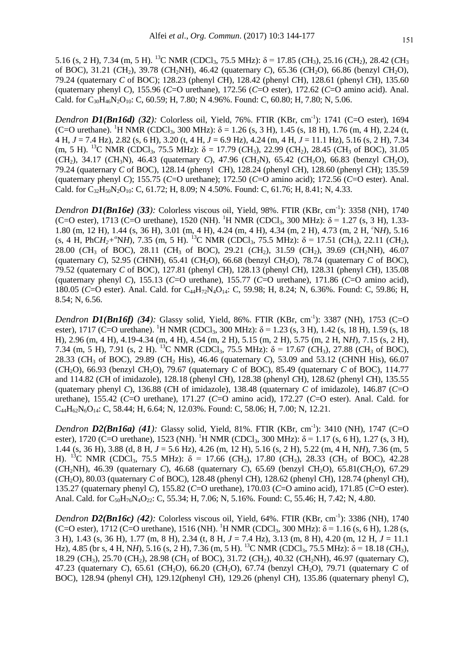5.16 (s, 2 H), 7.34 (m, 5 H). <sup>13</sup>C NMR (CDCl<sub>3</sub>, 75.5 MHz):  $\delta$  = 17.85 (*C*H<sub>3</sub>), 25.16 (*CH<sub>2</sub>*), 28.42 (*CH<sub>3</sub>*) of BOC), 31.21 (*C*H2), 39.78 (*C*H2NH), 46.42 (quaternary *C*), 65.36 (*C*H2O), 66.86 (benzyl *C*H2O), 79.24 (quaternary *C* of BOC); 128.23 (phenyl *C*H), 128.42 (phenyl *C*H), 128.61 (phenyl *C*H), 135.60 (quaternary phenyl *C*), 155.96 (*C*=O urethane), 172.56 (*C*=O ester), 172.62 (*C*=O amino acid). Anal. Cald. for C<sub>30</sub>H<sub>46</sub>N<sub>2</sub>O<sub>10</sub>: C, 60.59; H, 7.80; N 4.96%. Found: C, 60.80; H, 7.80; N, 5.06.

*Dendron D1(Bn16d)* (32): Colorless oil, Yield, 76%. FTIR (KBr, cm<sup>-1</sup>): 1741 (C=O ester), 1694 (C=O urethane). <sup>1</sup>H NMR (CDCl<sub>3</sub>, 300 MHz):  $\delta$  = 1.26 (s, 3 H), 1.45 (s, 18 H), 1.76 (m, 4 H), 2.24 (t, 4 H, *J* = 7.4 Hz), 2.82 (s, 6 H), 3.20 (t, 4 H, *J* = 6.9 Hz), 4.24 (m, 4 H, *J* = 11.1 Hz), 5.16 (s, 2 H), 7.34 (m, 5 H). <sup>13</sup>C NMR (CDCl<sub>3</sub>, 75.5 MHz):  $\delta = 17.79$  (CH<sub>3</sub>), 22.99 (CH<sub>2</sub>), 28.45 (CH<sub>3</sub> of BOC), 31.05 (*C*H2), 34.17 (*C*H3N), 46.43 (quaternary *C*), 47.96 (*C*H2N), 65.42 (*C*H2O), 66.83 (benzyl *C*H2O), 79.24 (quaternary *C* of BOC), 128.14 (phenyl *C*H), 128.24 (phenyl *C*H), 128.60 (phenyl *C*H); 135.59 (quaternary phenyl *C*); 155.75 (*C*=O urethane); 172.50 (*C*=O amino acid); 172.56 (*C*=O ester). Anal. Cald. for  $C_{32}H_{50}N_2O_{10}$ : C, 61.72; H, 8.09; N 4.50%. Found: C, 61.76; H, 8.41; N, 4.33.

*Dendron D1(Bn16e) (33):* Colorless viscous oil, Yield, 98%. FTIR (KBr, cm-1 ): 3358 (NH), 1740 (C=O ester), 1713 (C=O urethane), 1520 (NH). <sup>1</sup>H NMR (CDCl<sub>3</sub>, 300 MHz):  $\delta$  = 1.27 (s, 3 H), 1.33-1.80 (m, 12 H), 1.44 (s, 36 H), 3.01 (m, 4 H), 4.24 (m, 4 H), 4.34 (m, 2 H), 4.73 (m, 2 H, *<sup>ε</sup>*N*H*), 5.16 (s, 4 H, PhC $H_2$ <sup>*+*</sup><sup>α</sup>N*H*), 7.35 (m, 5 H). <sup>13</sup>C NMR (CDCl<sub>3</sub>, 75.5 MHz):  $\delta$  = 17.51 (*CH*<sub>3</sub>), 22.11 (*CH*<sub>2</sub>), 28.00 (*C*H<sup>3</sup> of BOC), 28.11 (*C*H<sup>3</sup> of BOC), 29.21 (*C*H2), 31.59 (*C*H2), 39.69 (*C*H2NH), 46.07 (quaternary *C*), 52.95 (*C*HNH), 65.41 (*C*H2O), 66.68 (benzyl *C*H2O), 78.74 (quaternary *C* of BOC), 79.52 (quaternary *C* of BOC), 127.81 (phenyl *C*H), 128.13 (phenyl *C*H), 128.31 (phenyl *C*H), 135.08 (quaternary phenyl *C*), 155.13 (*C*=O urethane), 155.77 (*C*=O urethane), 171.86 (*C*=O amino acid), 180.05 (*C*=O ester). Anal. Cald. for C<sub>44</sub>H<sub>72</sub>N<sub>4</sub>O<sub>14</sub>: C, 59.98; H, 8.24; N, 6.36%. Found: C, 59.86; H, 8.54; N, 6.56.

*Dendron D1(Bn16f)* (34): Glassy solid, Yield, 86%. FTIR (KBr, cm<sup>-1</sup>): 3387 (NH), 1753 (C=O ester), 1717 (C=O urethane). <sup>1</sup>H NMR (CDCl<sub>3</sub>, 300 MHz):  $\delta$  = 1.23 (s, 3 H), 1.42 (s, 18 H), 1.59 (s, 18 H), 2.96 (m, 4 H), 4.19-4.34 (m, 4 H), 4.54 (m, 2 H), 5.15 (m, 2 H), 5.75 (m, 2 H, N*H*), 7.15 (s, 2 H), 7.34 (m, 5 H), 7.91 (s, 2 H). <sup>13</sup>C NMR (CDCl<sub>3</sub>, 75.5 MHz):  $\delta$  = 17.67 (*C*H<sub>3</sub>), 27.88 (*C*H<sub>3</sub> of BOC), 28.33 (*C*H<sup>3</sup> of BOC), 29.89 (*C*H<sup>2</sup> His), 46.46 (quaternary *C*), 53.09 and 53.12 (*C*HNH His), 66.07 (*C*H2O), 66.93 (benzyl *C*H2O), 79.67 (quaternary *C* of BOC), 85.49 (quaternary *C* of BOC), 114.77 and 114.82 (*C*H of imidazole), 128.18 (phenyl *C*H), 128.38 (phenyl *C*H), 128.62 (phenyl *C*H), 135.55 (quaternary phenyl *C*), 136.88 (*C*H of imidazole), 138.48 (quaternary *C* of imidazole), 146.87 (*C*=O urethane), 155.42 (*C*=O urethane), 171.27 (*C*=O amino acid), 172.27 (*C*=O ester). Anal. Cald. for  $C_{44}H_{62}N_{6}O_{14}$ : C, 58.44; H, 6.64; N, 12.03%. Found: C, 58.06; H, 7.00; N, 12.21.

*Dendron D2(Bn16a) (41):* Glassy solid, Yield, 81%. FTIR (KBr, cm<sup>-1</sup>): 3410 (NH), 1747 (C=O ester), 1720 (C=O urethane), 1523 (NH). <sup>1</sup>H NMR (CDCl<sub>3</sub>, 300 MHz):  $\delta$  = 1.17 (s, 6 H), 1.27 (s, 3 H), 1.44 (s, 36 H), 3.88 (d, 8 H, *J* = 5.6 Hz), 4.26 (m, 12 H), 5.16 (s, 2 H), 5.22 (m, 4 H, N*H*), 7.36 (m, 5 H). <sup>13</sup>C NMR (CDCl<sub>3</sub>, 75.5 MHz):  $\delta = 17.66$  (CH<sub>3</sub>), 17.80 (CH<sub>3</sub>), 28.33 (CH<sub>3</sub> of BOC), 42.28 (*C*H2NH), 46.39 (quaternary *C*), 46.68 (quaternary *C*), 65.69 (benzyl *C*H2O), 65.81(*C*H2O), 67.29 (*C*H2O), 80.03 (quaternary *C* of BOC), 128.48 (phenyl *C*H), 128.62 (phenyl *C*H), 128.74 (phenyl *C*H), 135.27 (quaternary phenyl *C*), 155.82 (*C*=O urethane), 170.03 (*C*=O amino acid), 171.85 (*C*=O ester). Anal. Cald. for C<sub>50</sub>H<sub>76</sub>N<sub>4</sub>O<sub>22</sub>: C, 55.34; H, 7.06; N, 5.16%. Found: C, 55.46; H, 7.42: N, 4.80.

*Dendron D2(Bn16c) (42):* Colorless viscous oil, Yield, 64%. FTIR (KBr, cm-1 ): 3386 (NH), 1740 (C=O ester), 1712 (C=O urethane), 1516 (NH). <sup>1</sup>H NMR (CDCl<sub>3</sub>, 300 MHz):  $\delta$  = 1.16 (s, 6 H), 1.28 (s, 3 H), 1.43 (s, 36 H), 1.77 (m, 8 H), 2.34 (t, 8 H, *J* = 7.4 Hz), 3.13 (m, 8 H), 4.20 (m, 12 H, *J* = 11.1 Hz), 4.85 (br s, 4 H, N*H*), 5.16 (s, 2 H), 7.36 (m, 5 H). <sup>13</sup>C NMR (CDCl<sub>3</sub>, 75.5 MHz): δ = 18.18 (*C*H<sub>3</sub>), 18.29 (*C*H3), 25.70 (*C*H2), 28.98 (*C*H<sup>3</sup> of BOC), 31.72 (*C*H2), 40.32 (*C*H2NH), 46.97 (quaternary *C*), 47.23 (quaternary *C*), 65.61 (*C*H2O), 66.20 (*C*H2O), 67.74 (benzyl *C*H2O), 79.71 (quaternary *C* of BOC), 128.94 (phenyl *C*H), 129.12(phenyl *C*H), 129.26 (phenyl *C*H), 135.86 (quaternary phenyl *C*),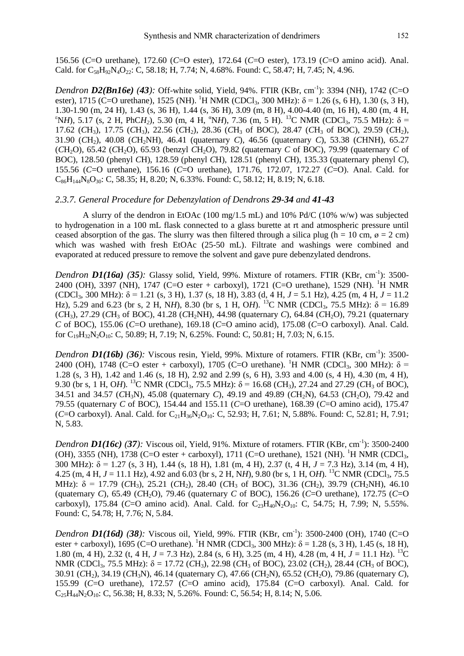156.56 (*C*=O urethane), 172.60 (*C*=O ester), 172.64 (*C*=O ester), 173.19 (*C*=O amino acid). Anal. Cald. for  $C_{58}H_{92}N_4O_{22}$ : C, 58.18; H, 7.74; N, 4.68%. Found: C, 58.47; H, 7.45; N, 4.96.

*Dendron D2(Bn16e)* (43): Off-white solid, Yield, 94%. FTIR (KBr, cm<sup>-1</sup>): 3394 (NH), 1742 (C=O ester), 1715 (C=O urethane), 1525 (NH). <sup>1</sup>H NMR (CDCl<sub>3</sub>, 300 MHz):  $\delta$  = 1.26 (s, 6 H), 1.30 (s, 3 H), 1.30-1.90 (m, 24 H), 1.43 (s, 36 H), 1.44 (s, 36 H), 3.09 (m, 8 H), 4.00-4.40 (m, 16 H), 4.80 (m, 4 H, <sup>ε</sup>N*H*), 5.17 (s, 2 H, PhC*H*<sub>2</sub>), 5.30 (m, 4 H, <sup>α</sup>N*H*), 7.36 (m, 5 H). <sup>13</sup>C NMR (CDCl<sub>3</sub>, 75.5 MHz): δ = 17.62 (*C*H3), 17.75 (*C*H3), 22.56 (*C*H2), 28.36 (*C*H<sup>3</sup> of BOC), 28.47 (*C*H<sup>3</sup> of BOC), 29.59 (*C*H2), 31.90 (*C*H2), 40.08 (*C*H2NH), 46.41 (quaternary *C*), 46.56 (quaternary *C*), 53.38 (*C*HNH), 65.27  $(CH<sub>2</sub>O)$ , 65.42  $(CH<sub>2</sub>O)$ , 65.93 (benzyl  $CH<sub>2</sub>O)$ , 79.82 (quaternary *C* of BOC), 79.99 (quaternary *C* of BOC), 128.50 (phenyl *C*H), 128.59 (phenyl *C*H), 128.51 (phenyl *C*H), 135.33 (quaternary phenyl *C*), 155.56 (*C*=O urethane), 156.16 (*C*=O urethane), 171.76, 172.07, 172.27 (*C*=O). Anal. Cald. for  $C_{86}H_{144}N_8O_{30}$ : C, 58.35; H, 8.20; N, 6.33%. Found: C, 58.12; H, 8.19; N, 6.18.

#### *2.3.7. General Procedure for Debenzylation of Dendrons 29-34 and 41-43*

A slurry of the dendron in EtOAc  $(100 \text{ mg}/1.5 \text{ mL})$  and  $10\%$  Pd/C  $(10\% \text{ w/w})$  was subjected to hydrogenation in a 100 mL flask connected to a glass burette at rt and atmospheric pressure until ceased absorption of the gas. The slurry was then filtered through a silica plug (h = 10 cm,  $\varnothing$  = 2 cm) which was washed with fresh EtOAc (25-50 mL). Filtrate and washings were combined and evaporated at reduced pressure to remove the solvent and gave pure debenzylated dendrons.

*Dendron D1(16a)* (35): Glassy solid, Yield, 99%. Mixture of rotamers. FTIR (KBr, cm<sup>-1</sup>): 3500-2400 (OH), 3397 (NH), 1747 (C=O ester + carboxyl), 1721 (C=O urethane), 1529 (NH). <sup>1</sup>H NMR (CDCl<sub>3</sub>, 300 MHz):  $\delta$  = 1.21 (s, 3 H), 1.37 (s, 18 H), 3.83 (d, 4 H, *J* = 5.1 Hz), 4.25 (m, 4 H, *J* = 11.2 Hz), 5.29 and 6.23 (br s, 2 H, N*H*), 8.30 (br s, 1 H, O*H*). <sup>13</sup>C NMR (CDCl<sub>3</sub>, 75.5 MHz): δ = 16.89 (*C*H3), 27.29 (*C*H<sup>3</sup> of BOC), 41.28 (*C*H2NH), 44.98 (quaternary *C*), 64.84 (*C*H2O), 79.21 (quaternary *C* of BOC), 155.06 (*C*=O urethane), 169.18 (*C*=O amino acid), 175.08 (*C*=O carboxyl). Anal. Cald. for  $C_{19}H_{32}N_2O_{10}$ : C, 50.89; H, 7.19; N, 6.25%. Found: C, 50.81; H, 7.03; N, 6.15.

*Dendron D1(16b)* (36): Viscous resin, Yield, 99%. Mixture of rotamers. FTIR (KBr, cm<sup>-1</sup>): 3500-2400 (OH), 1748 (C=O ester + carboxyl), 1705 (C=O urethane). <sup>1</sup>H NMR (CDCl<sub>3</sub>, 300 MHz):  $\delta$  = 1.28 (s, 3 H), 1.42 and 1.46 (s, 18 H), 2.92 and 2.99 (s, 6 H), 3.93 and 4.00 (s, 4 H), 4.30 (m, 4 H), 9.30 (br s, 1 H, OH). <sup>13</sup>C NMR (CDCl<sub>3</sub>, 75.5 MHz):  $\delta$  = 16.68 (CH<sub>3</sub>), 27.24 and 27.29 (CH<sub>3</sub> of BOC), 34.51 and 34.57 (*C*H3N), 45.08 (quaternary *C*), 49.19 and 49.89 (*C*H2N), 64.53 (*C*H2O), 79.42 and 79.55 (quaternary *C* of BOC), 154.44 and 155.11 (*C*=O urethane), 168.39 (*C*=O amino acid), 175.47  $(C=O \text{ carboxyl})$ . Anal. Cald. for  $C_2H_{36}N_2O_{10}$ : C, 52.93; H, 7.61; N, 5.88%. Found: C, 52.81; H, 7.91; N, 5.83.

*Dendron D1(16c)* (37): Viscous oil, Yield, 91%. Mixture of rotamers. FTIR (KBr, cm<sup>-1</sup>): 3500-2400 (OH), 3355 (NH), 1738 (C=O ester + carboxyl), 1711 (C=O urethane), 1521 (NH). <sup>1</sup>H NMR (CDCl<sub>3</sub>, 300 MHz): δ = 1.27 (s, 3 H), 1.44 (s, 18 H), 1.81 (m, 4 H), 2.37 (t, 4 H, *J* = 7.3 Hz), 3.14 (m, 4 H), 4.25 (m,  $4$  H,  $J = 11.1$  Hz),  $4.92$  and  $6.03$  (br s, 2 H, NH),  $9.80$  (br s, 1 H, OH). <sup>13</sup>C NMR (CDCl<sub>3</sub>, 75.5) MHz):  $\delta = 17.79$  (*C*H<sub>3</sub>), 25.21 (*C*H<sub>2</sub>), 28.40 (*C*H<sub>3</sub> of BOC), 31.36 (*C*H<sub>2</sub>), 39.79 (*C*H<sub>2</sub>NH), 46.10 (quaternary *C*), 65.49 (*C*H2O), 79.46 (quaternary *C* of BOC), 156.26 (*C*=O urethane), 172.75 (*C*=O carboxyl), 175.84 (*C*=O amino acid). Anal. Cald. for  $C_{23}H_{40}N_2O_{10}$ : C, 54.75; H, 7.99; N, 5.55%. Found: C, 54.78; H, 7.76; N, 5.84.

*Dendron D1(16d) (38):* Viscous oil, Yield, 99%. FTIR (KBr, cm-1 ): 3500-2400 (OH), 1740 (C=O ester + carboxyl), 1695 (C=O urethane). <sup>1</sup>H NMR (CDCl<sub>3</sub>, 300 MHz):  $\delta$  = 1.28 (s, 3 H), 1.45 (s, 18 H), 1.80 (m, 4 H), 2.32 (t, 4 H, *J* = 7.3 Hz), 2.84 (s, 6 H), 3.25 (m, 4 H), 4.28 (m, 4 H, *J* = 11.1 Hz). <sup>13</sup>C NMR (CDCl<sub>3</sub>, 75.5 MHz):  $δ = 17.72$  (*C*H<sub>3</sub>), 22.98 (*C*H<sub>3</sub> of BOC), 23.02 (*C*H<sub>2</sub>), 28.44 (*CH*<sub>3</sub> of BOC), 30.91 (*C*H2), 34.19 (*C*H3N), 46.14 (quaternary *C*), 47.66 (*C*H2N), 65.52 (*C*H2O), 79.86 (quaternary *C*), 155.99 (*C*=O urethane), 172.57 (*C*=O amino acid), 175.84 (*C*=O carboxyl). Anal. Cald. for  $C_{25}H_{44}N_{2}O_{10}$ : C, 56.38; H, 8.33; N, 5.26%. Found: C, 56.54; H, 8.14; N, 5.06.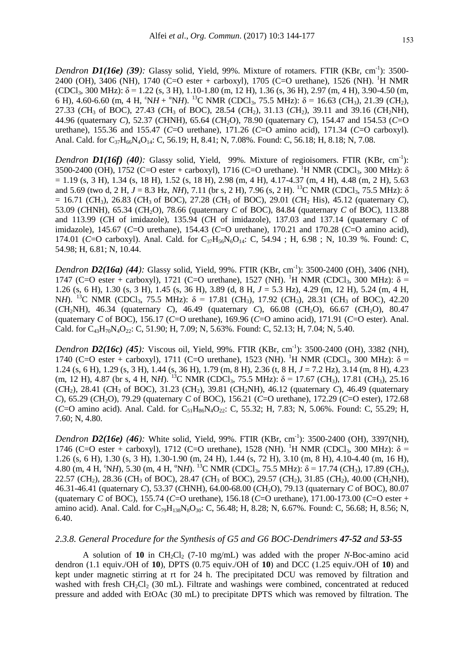*Dendron D1(16e)* (39): Glassy solid, Yield, 99%. Mixture of rotamers. FTIR (KBr, cm<sup>-1</sup>): 3500-2400 (OH), 3406 (NH), 1740 (C=O ester + carboxyl), 1705 (C=O urethane), 1526 (NH). <sup>1</sup>H NMR  $(CDCl_3, 300 MHz)$ :  $\delta = 1.22$  (s, 3 H), 1.10-1.80 (m, 12 H), 1.36 (s, 36 H), 2.97 (m, 4 H), 3.90-4.50 (m, 6 H), 4.60-6.60 (m, 4 H,  ${}^{6}NH + {}^{6}NH$ ). <sup>13</sup>C NMR (CDCl<sub>3</sub>, 75.5 MHz):  $\delta$  = 16.63 (*C*H<sub>3</sub>), 21.39 (*C*H<sub>2</sub>), 27.33 (*C*H<sup>3</sup> of BOC), 27.43 (*C*H<sup>3</sup> of BOC), 28.54 (*C*H2), 31.13 (*C*H2), 39.11 and 39.16 (*C*H2NH), 44.96 (quaternary *C*), 52.37 (*C*HNH), 65.64 (*C*H2O), 78.90 (quaternary *C*), 154.47 and 154.53 (*C*=O urethane), 155.36 and 155.47 (*C*=O urethane), 171.26 (*C*=O amino acid), 171.34 (*C*=O carboxyl). Anal. Cald. for  $C_{37}H_{66}N_4O_{14}$ : C, 56.19; H, 8.41; N, 7.08%. Found: C, 56.18; H, 8.18; N, 7.08.

*Dendron D1(16f)* (40): Glassy solid, Yield, 99%. Mixture of regioisomers. FTIR (KBr, cm<sup>-1</sup>): 3500-2400 (OH), 1752 (C=O ester + carboxyl), 1716 (C=O urethane). <sup>1</sup>H NMR (CDCl<sub>3</sub>, 300 MHz):  $\delta$  $= 1.19$  (s, 3 H), 1.34 (s, 18 H), 1.52 (s, 18 H), 2.98 (m, 4 H), 4.17-4.37 (m, 4 H), 4.48 (m, 2 H), 5.63 and 5.69 (two d, 2 H,  $J = 8.3$  Hz, *NH*), 7.11 (br s, 2 H), 7.96 (s, 2 H). <sup>13</sup>C NMR (CDCl<sub>3</sub>, 75.5 MHz):  $\delta$  $= 16.71$  (*C*H<sub>3</sub>), 26.83 (*C*H<sub>3</sub> of BOC), 27.28 (*C*H<sub>3</sub> of BOC), 29.01 (*CH<sub>2</sub>* His), 45.12 (quaternary *C*), 53.09 (*CHNH*), 65.34 (*CH<sub>2</sub>O*), 78.66 (quaternary *C* of BOC), 84.84 (quaternary *C* of BOC), 113.88 and 113.99 (*C*H of imidazole), 135.94 (*C*H of imidazole), 137.03 and 137.14 (quaternary *C* of imidazole), 145.67 (*C*=O urethane), 154.43 (*C*=O urethane), 170.21 and 170.28 (*C*=O amino acid), 174.01 (*C*=O carboxyl). Anal. Cald. for C<sub>37</sub>H<sub>56</sub>N<sub>6</sub>O<sub>14</sub>: C, 54.94; H, 6.98; N, 10.39 %. Found: C, 54.98; H, 6.81; N, 10.44.

*Dendron D2(16a) (44):* Glassy solid, Yield, 99%. FTIR (KBr, cm-1 ): 3500-2400 (OH), 3406 (NH), 1747 (C=O ester + carboxyl), 1721 (C=O urethane), 1527 (NH). <sup>1</sup>H NMR (CDCl<sub>3</sub>, 300 MHz): δ = 1.26 (s, 6 H), 1.30 (s, 3 H), 1.45 (s, 36 H), 3.89 (d, 8 H, *J* = 5.3 Hz), 4.29 (m, 12 H), 5.24 (m, 4 H, NH). <sup>13</sup>C NMR (CDCl<sub>3</sub>, 75.5 MHz):  $\delta = 17.81$  (*C*H<sub>3</sub>), 17.92 (*C*H<sub>3</sub>), 28.31 (*C*H<sub>3</sub> of BOC), 42.20 (*C*H2NH), 46.34 (quaternary *C*), 46.49 (quaternary *C*), 66.08 (*C*H2O), 66.67 (*C*H2O), 80.47 (quaternary *C* of BOC), 156.17 (*C*=O urethane), 169.96 (*C*=O amino acid), 171.91 (*C*=O ester). Anal. Cald. for  $C_{43}H_{70}N_4O_{22}$ : C, 51.90; H, 7.09; N, 5.63%. Found: C, 52.13; H, 7.04; N, 5.40.

*Dendron D2(16c) (45):* Viscous oil, Yield, 99%. FTIR (KBr, cm-1 ): 3500-2400 (OH), 3382 (NH), 1740 (C=O ester + carboxyl), 1711 (C=O urethane), 1523 (NH). <sup>1</sup>H NMR (CDCl<sub>3</sub>, 300 MHz): δ = 1.24 (s, 6 H), 1.29 (s, 3 H), 1.44 (s, 36 H), 1.79 (m, 8 H), 2.36 (t, 8 H, *J* = 7.2 Hz), 3.14 (m, 8 H), 4.23 (m, 12 H), 4.87 (br s, 4 H, NH). <sup>13</sup>C NMR (CDCl<sub>3</sub>, 75.5 MHz):  $\delta$  = 17.67 (CH<sub>3</sub>), 17.81 (CH<sub>3</sub>), 25.16  $(CH_2)$ , 28.41  $(CH_3$  of BOC), 31.23  $(CH_2)$ , 39.81  $(CH_2NH)$ , 46.12 (quaternary *C*), 46.49 (quaternary *C*), 65.29 (*C*H2O), 79.29 (quaternary *C* of BOC), 156.21 (*C*=O urethane), 172.29 (*C*=O ester), 172.68 (*C*=O amino acid). Anal. Cald. for C<sub>51</sub>H<sub>86</sub>N<sub>4</sub>O<sub>22</sub>: C, 55.32; H, 7.83; N, 5.06%. Found: C, 55.29; H, 7.60; N, 4.80.

*Dendron D2(16e)* (46): White solid, Yield, 99%. FTIR (KBr, cm<sup>-1</sup>): 3500-2400 (OH), 3397(NH), 1746 (C=O ester + carboxyl), 1712 (C=O urethane), 1528 (NH). <sup>1</sup>H NMR (CDCl<sub>3</sub>, 300 MHz): δ = 1.26 (s, 6 H), 1.30 (s, 3 H), 1.30-1.90 (m, 24 H), 1.44 (s, 72 H), 3.10 (m, 8 H), 4.10-4.40 (m, 16 H), 4.80 (m, 4 H,  ${}^6NH$ ), 5.30 (m, 4 H,  ${}^6NH$ ). <sup>13</sup>C NMR (CDCl<sub>3</sub>, 75.5 MHz):  $\delta$  = 17.74 (*CH*<sub>3</sub>), 17.89 (*CH*<sub>3</sub>), 22.57 (*C*H2), 28.36 (*C*H<sup>3</sup> of BOC), 28.47 (*C*H<sup>3</sup> of BOC), 29.57 (*C*H2), 31.85 (*C*H2), 40.00 (*C*H2NH), 46.31-46.41 (quaternary *C*), 53.37 (*C*HNH), 64.00-68.00 (*C*H2O), 79.13 (quaternary *C* of BOC), 80.07 (quaternary *C* of BOC), 155.74 (*C*=O urethane), 156.18 (*C*=O urethane), 171.00-173.00 (*C*=O ester + amino acid). Anal. Cald. for  $C_{79}H_{138}N_8O_{30}$ : C, 56.48; H, 8.28; N, 6.67%. Found: C, 56.68; H, 8.56; N, 6.40.

## *2.3.8. General Procedure for the Synthesis of G5 and G6 BOC-Dendrimers 47-52 and 53-55*

A solution of 10 in CH<sub>2</sub>Cl<sub>2</sub> (7-10 mg/mL) was added with the proper *N*-Boc-amino acid dendron (1.1 equiv./OH of **10**), DPTS (0.75 equiv./OH of **10**) and DCC (1.25 equiv./OH of **10**) and kept under magnetic stirring at rt for 24 h. The precipitated DCU was removed by filtration and washed with fresh CH<sub>2</sub>Cl<sub>2</sub> (30 mL). Filtrate and washings were combined, concentrated at reduced pressure and added with EtOAc (30 mL) to precipitate DPTS which was removed by filtration. The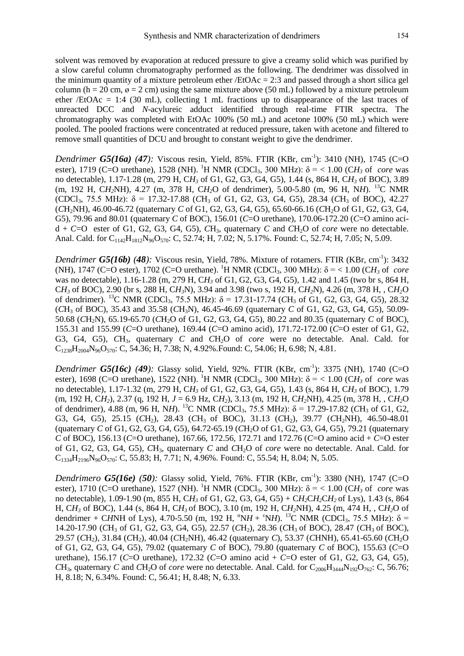solvent was removed by evaporation at reduced pressure to give a creamy solid which was purified by a slow careful column chromatography performed as the following. The dendrimer was dissolved in the minimum quantity of a mixture petroleum ether /EtOAc = 2:3 and passed through a short silica gel column (h = 20 cm,  $\varnothing$  = 2 cm) using the same mixture above (50 mL) followed by a mixture petroleum ether /EtOAc = 1:4 (30 mL), collecting 1 mL fractions up to disappearance of the last traces of unreacted DCC and *N*-acylureic adduct identified through real-time FTIR spectra. The chromatography was completed with EtOAc 100% (50 mL) and acetone 100% (50 mL) which were pooled. The pooled fractions were concentrated at reduced pressure, taken with acetone and filtered to remove small quantities of DCU and brought to constant weight to give the dendrimer.

*Dendrimer G5(16a) (47):* Viscous resin, Yield, 85%. FTIR (KBr, cm<sup>-1</sup>): 3410 (NH), 1745 (C=O ester), 1719 (C=O urethane), 1528 (NH). <sup>1</sup>H NMR (CDCl<sub>3</sub>, 300 MHz):  $\delta$  = < 1.00 (CH<sub>3</sub> of *core* was no detectable), 1.17-1.28 (m, 279 H, C*H<sup>3</sup>* of G1, G2, G3, G4, G5), 1.44 (s, 864 H, C*H<sup>3</sup>* of BOC), 3.89 (m, 192 H, C*H2*NH), 4.27 (m, 378 H, C*H2*O of dendrimer), 5.00-5.80 (m, 96 H, N*H*). <sup>13</sup>C NMR (CDCl3, 75.5 MHz): δ = 17.32-17.88 (*C*H<sup>3</sup> of G1, G2, G3, G4, G5), 28.34 (*C*H<sup>3</sup> of BOC), 42.27 (*C*H2NH), 46.00-46.72 (quaternary *C* of G1, G2, G3, G4, G5), 65.60-66.16 (*C*H2O of G1, G2, G3, G4, G5), 79.96 and 80.01 (quaternary *C* of BOC), 156.01 (*C*=O urethane), 170.06-172.20 (*C*=O amino aci $d + C = O$  ester of G1, G2, G3, G4, G5),  $CH_3$ , quaternary *C* and *CH*<sub>2</sub>O of *core* were no detectable. Anal. Cald. for C<sub>1142</sub>H<sub>1812</sub>N<sub>96</sub>O<sub>570</sub>: C, 52.74; H, 7.02; N, 5.17%. Found: C, 52.74; H, 7.05; N, 5.09.

*Dendrimer G5(16b)* (48): Viscous resin, Yield, 78%. Mixture of rotamers. FTIR (KBr, cm<sup>-1</sup>): 3432 (NH), 1747 (C=O ester), 1702 (C=O urethane). <sup>1</sup>H NMR (CDCl<sub>3</sub>, 300 MHz):  $δ = < 1.00$  (CH<sub>3</sub> of *core* was no detectable), 1.16-1.28 (m, 279 H, C*H<sup>3</sup>* of G1, G2, G3, G4, G5), 1.42 and 1.45 (two br s, 864 H, C*H<sup>3</sup>* of BOC), 2.90 (br s, 288 H, C*H3*N), 3.94 and 3.98 (two s, 192 H, C*H2*N), 4.26 (m, 378 H, , C*H2*O of dendrimer). <sup>13</sup>C NMR (CDCl<sub>3</sub>, 75.5 MHz):  $\delta$  = 17.31-17.74 (CH<sub>3</sub> of G1, G2, G3, G4, G5), 28.32 (*C*H<sup>3</sup> of BOC), 35.43 and 35.58 (*C*H3N), 46.45-46.69 (quaternary *C* of G1, G2, G3, G4, G5), 50.09- 50.68 (*C*H2N), 65.19-65.70 (*C*H2O of G1, G2, G3, G4, G5), 80.22 and 80.35 (quaternary *C* of BOC), 155.31 and 155.99 (*C*=O urethane), 169.44 (*C*=O amino acid), 171.72-172.00 (*C*=O ester of G1, G2, G3, G4, G5), *C*H3, quaternary *C* and *C*H2O of *core* were no detectable. Anal. Cald. for  $C_{1238}H_{2004}N_{96}O_{570}$ : C, 54.36; H, 7.38; N, 4.92%.Found: C, 54.06; H, 6.98; N, 4.81.

*Dendrimer G5(16c) (49):* Glassy solid, Yield, 92%. FTIR (KBr, cm-1 ): 3375 (NH), 1740 (C=O ester), 1698 (C=O urethane), 1522 (NH). <sup>1</sup>H NMR (CDCl<sub>3</sub>, 300 MHz):  $\delta$  = < 1.00 (CH<sub>3</sub> of *core* was no detectable), 1.17-1.32 (m, 279 H, C*H<sup>3</sup>* of G1, G2, G3, G4, G5), 1.43 (s, 864 H, C*H<sup>3</sup>* of BOC), 1.79 (m, 192 H, C*H2*), 2.37 (q, 192 H, *J* = 6.9 Hz, C*H2*), 3.13 (m, 192 H, C*H2*NH), 4.25 (m, 378 H, , C*H2*O of dendrimer),  $4.88$  (m,  $96$  H, NH). <sup>13</sup>C NMR (CDCl<sub>3</sub>,  $75.5$  MHz):  $\delta = 17.29$ -17.82 (*CH<sub>3</sub>* of G1, G2, G3, G4, G5), 25.15 (CH<sub>2</sub>), 28.43 (CH<sub>3</sub> of BOC), 31.13 (CH<sub>2</sub>), 39.77 (CH<sub>2</sub>NH), 46.50-48.01 (quaternary *C* of G1, G2, G3, G4, G5), 64.72-65.19 (*C*H2O of G1, G2, G3, G4, G5), 79.21 (quaternary *C* of BOC), 156.13 (*C*=O urethane), 167.66, 172.56, 172.71 and 172.76 (*C*=O amino acid + *C*=O ester of G1, G2, G3, G4, G5), *C*H3, quaternary *C* and *C*H2O of *core* were no detectable. Anal. Cald. for  $C_{1334}H_{2196}N_{96}O_{570}$ : C, 55.83; H, 7.71; N, 4.96%. Found: C, 55.54; H, 8.04; N, 5.05.

*Dendrimero G5(16e) (50):* Glassy solid, Yield, 76%. FTIR (KBr, cm-1 ): 3380 (NH), 1747 (C=O ester), 1710 (C=O urethane), 1527 (NH). <sup>1</sup>H NMR (CDCl<sub>3</sub>, 300 MHz):  $\delta$  = < 1.00 (CH<sub>3</sub> of *core* was no detectable), 1.09-1.90 (m, 855 H, C*H<sup>3</sup>* of G1, G2, G3, G4, G5) + C*H2*C*H2*C*H2* of Lys), 1.43 (s, 864 H, C*H<sup>3</sup>* of BOC), 1.44 (s, 864 H, C*H3* of BOC), 3.10 (m, 192 H, C*H2*NH), 4.25 (m, 474 H, , C*H2*O of dendrimer + CHNH of Lys), 4.70-5.50 (m, 192 H,  ${}^{\alpha}NH + {}^{\alpha}NH$ ). <sup>13</sup>C NMR (CDCl<sub>3</sub>, 75.5 MHz):  $\delta$  = 14.20-17.90 (*C*H<sup>3</sup> of G1, G2, G3, G4, G5), 22.57 (*C*H2), 28.36 (*C*H3 of BOC), 28.47 (*C*H3 of BOC), 29.57 (*C*H2), 31.84 (*C*H2), 40.04 (*C*H2NH), 46.42 (quaternary *C*), 53.37 (*C*HNH), 65.41-65.60 (*C*H2O of G1, G2, G3, G4, G5), 79.02 (quaternary *C* of BOC), 79.80 (quaternary *C* of BOC), 155.63 (*C*=O urethane), 156.17 (*C*=O urethane), 172.32 (*C*=O amino acid + *C*=O ester of G1, G2, G3, G4, G5), *CH*<sub>3</sub>, quaternary *C* and *CH*<sub>2</sub>O of *core* were no detectable. Anal. Cald. for  $C_{2006}H_{3444}N_{192}O_{762}$ : C, 56.76; H, 8.18; N, 6.34%. Found: C, 56.41; H, 8.48; N, 6.33.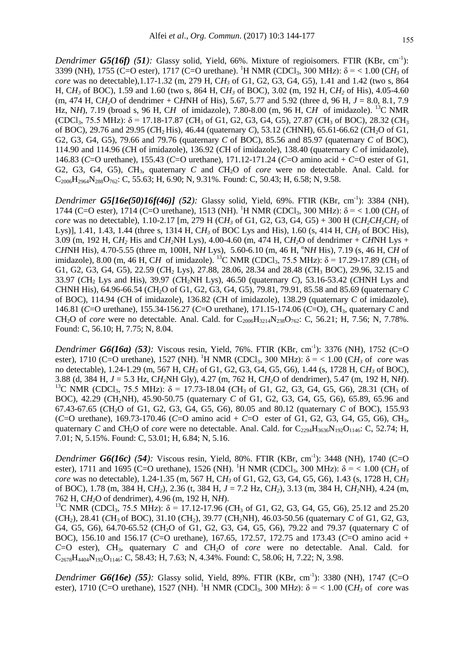*Dendrimer G5(16f) (51):* Glassy solid, Yield, 66%. Mixture of regioisomers. FTIR (KBr, cm<sup>-1</sup>): 3399 (NH), 1755 (C=O ester), 1717 (C=O urethane). <sup>1</sup>H NMR (CDCl<sub>3</sub>, 300 MHz):  $\delta$  = < 1.00 (CH<sub>3</sub> of *core* was no detectable),1.17-1.32 (m, 279 H, C*H<sup>3</sup>* of G1, G2, G3, G4, G5), 1.41 and 1.42 (two s, 864 H, C*H<sup>3</sup>* of BOC), 1.59 and 1.60 (two s, 864 H, C*H<sup>3</sup>* of BOC), 3.02 (m, 192 H, C*H<sup>2</sup>* of His), 4.05-4.60  $(m, 474 \text{ H}, CH<sub>2</sub>O \text{ of dendrimer} + CH<sub>2</sub>NH \text{ of His})$ , 5.67, 5.77 and 5.92 (three d, 96 H,  $J = 8.0, 8.1, 7.9$ ) Hz, N*H*), 7.19 (broad s, 96 H, C*H* of imidazole), 7.80-8.00 (m, 96 H, C*H* of imidazole). <sup>13</sup>C NMR  $(CDCl_3, 75.5 MHz)$ :  $\delta = 17.18-17.87$   $(CH_3$  of G1, G2, G3, G4, G5), 27.87  $(CH_3$  of BOC), 28.32  $(CH_3)$ of BOC), 29.76 and 29.95 (*C*H2 His), 46.44 (quaternary *C*), 53.12 (*C*HNH), 65.61-66.62 (*C*H2O of G1, G2, G3, G4, G5), 79.66 and 79.76 (quaternary *C* of BOC), 85.56 and 85.97 (quaternary *C* of BOC), 114.90 and 114.96 (*C*H of imidazole), 136.92 (*C*H of imidazole), 138.40 (quaternary *C* of imidazole), 146.83 (*C*=O urethane), 155.43 (*C*=O urethane), 171.12-171.24 (*C*=O amino acid + *C*=O ester of G1, G2, G3, G4, G5), *C*H3, quaternary *C* and *C*H2O of *core* were no detectable. Anal. Cald. for  $C_{2006}H_{2964}N_{288}O_{762}$ : C, 55.63; H, 6.90; N, 9.31%. Found: C, 50.43; H, 6.58; N, 9.58.

*Dendrimer G5[16e(50)16f(46)] (52):* Glassy solid, Yield, 69%. FTIR (KBr, cm-1 ): 3384 (NH), 1744 (C=O ester), 1714 (C=O urethane), 1513 (NH). <sup>1</sup>H NMR (CDCl<sub>3</sub>, 300 MHz): δ = < 1.00 (CH<sub>3</sub> of *core* was no detectable), 1.10-2.17 [m, 279 H (CH<sub>2</sub><sup>3</sup> of G1, G2, G3, G4, G5) + 300 H (CH<sub>2</sub><sup>C</sup>H<sub>2</sub><sup>C</sup>H<sub>2</sub><sup>of</sup> Lys)], 1.41, 1.43, 1.44 (three s, 1314 H, C*H<sup>3</sup>* of BOC Lys and His), 1.60 (s, 414 H, C*H<sup>3</sup>* of BOC His), 3.09 (m, 192 H, C*H<sup>2</sup>* His and C*H2*NH Lys), 4.00-4.60 (m, 474 H, C*H2*O of dendrimer + C*H*NH Lys + CHNH His), 4.70-5.55 (three m, 100H, NH Lys), 5.60-6.10 (m, 46 H, <sup>a</sup>NH His), 7.19 (s, 46 H, CH of imidazole), 8.00 (m, 46 H, CH of imidazole). <sup>13</sup>C NMR (CDCl<sub>3</sub>, 75.5 MHz):  $\delta$  = 17.29-17.89 (CH<sub>3</sub> of G1, G2, G3, G4, G5), 22.59 (CH<sub>2</sub> Lys), 27.88, 28.06, 28.34 and 28.48 (CH<sub>3</sub> BOC), 29.96, 32.15 and 33.97 (*C*H<sup>2</sup> Lys and His), 39.97 (*C*H2NH Lys), 46.50 (quaternary *C*), 53.16-53.42 (*C*HNH Lys and *C*HNH His), 64.96-66.54 (*C*H2O of G1, G2, G3, G4, G5), 79.81, 79.91, 85.58 and 85.69 (quaternary *C* of BOC), 114.94 (*C*H of imidazole), 136.82 (*C*H of imidazole), 138.29 (quaternary *C* of imidazole), 146.81 (*C*=O urethane), 155.34-156.27 (*C*=O urethane), 171.15-174.06 (*C*=O), *C*H3, quaternary *C* and *C*H<sub>2</sub>O of *core* were no detectable. Anal. Cald. for  $C_{2006}H_{3214}N_{238}O_{762}$ : C, 56.21; H, 7.56; N, 7.78%. Found: C, 56.10; H, 7.75; N, 8.04.

*Dendrimer G6(16a) (53): Viscous resin, Yield, 76%. FTIR (KBr, cm<sup>-1</sup>): 3376 (NH), 1752 (C=O* ester), 1710 (C=O urethane), 1527 (NH). <sup>1</sup>H NMR (CDCl<sub>3</sub>, 300 MHz):  $\delta$  = < 1.00 (CH<sub>3</sub> of *core* was no detectable), 1.24-1.29 (m, 567 H, C*H<sup>3</sup>* of G1, G2, G3, G4, G5, G6), 1.44 (s, 1728 H, C*H<sup>3</sup>* of BOC), 3.88 (d, 384 H, *J* = 5.3 Hz, C*H2*NH Gly), 4.27 (m, 762 H, C*H2*O of dendrimer), 5.47 (m, 192 H, N*H*). <sup>13</sup>C NMR (CDCl<sub>3</sub>, 75.5 MHz): δ = 17.73-18.04 (*C*H<sub>3</sub> of G1, G2, G3, G4, G5, G6), 28.31 (*C*H<sub>3</sub> of BOC), 42.29 (CH<sub>2</sub>NH), 45.90-50.75 (quaternary *C* of G1, G2, G3, G4, G5, G6), 65.89, 65.96 and 67.43-67.65 (*C*H2O of G1, G2, G3, G4, G5, G6), 80.05 and 80.12 (quaternary *C* of BOC), 155.93 (*C*=O urethane), 169.73-170.46 (*C*=O amino acid + *C*=O ester of G1, G2, G3, G4, G5, G6), *C*H3, quaternary *C* and *CH*<sub>2</sub>O of *core* were no detectable. Anal. Cald. for  $C_{2294}H_{3636}N_{192}O_{1146}$ : C, 52.74; H, 7.01; N, 5.15%. Found: C, 53.01; H, 6.84; N, 5.16.

*Dendrimer G6(16c) (54):* Viscous resin, Yield, 80%. FTIR (KBr, cm-1 ): 3448 (NH), 1740 (C=O ester), 1711 and 1695 (C=O urethane), 1526 (NH). <sup>1</sup>H NMR (CDCl<sub>3</sub>, 300 MHz):  $\delta$  = < 1.00 (CH<sub>3</sub> of *core* was no detectable), 1.24-1.35 (m, 567 H, C*H<sup>3</sup>* of G1, G2, G3, G4, G5, G6), 1.43 (s, 1728 H, C*H<sup>3</sup>* of BOC), 1.78 (m, 384 H, C*H2*), 2.36 (t, 384 H, *J* = 7.2 Hz, C*H2*), 3.13 (m, 384 H, C*H2*NH), 4.24 (m, 762 H, C*H2*O of dendrimer), 4.96 (m, 192 H, N*H*).

<sup>13</sup>C NMR (CDCl<sub>3</sub>, 75.5 MHz):  $\delta$  = 17.12-17.96 (CH<sub>3</sub> of G1, G2, G3, G4, G5, G6), 25.12 and 25.20 (*C*H2), 28.41 (*C*H3 of BOC), 31.10 (*C*H2), 39.77 (*C*H2NH), 46.03-50.56 (quaternary *C* of G1, G2, G3, G4, G5, G6), 64.70-65.52 (*CH*<sub>2</sub>O of G1, G2, G3, G4, G5, G6), 79.22 and 79.37 (quaternary *C* of BOC), 156.10 and 156.17 (*C*=O urethane), 167.65, 172.57, 172.75 and 173.43 (*C*=O amino acid + *C*=O ester), *C*H3, quaternary *C* and *C*H2O of *core* were no detectable. Anal. Cald. for  $C_{2678}H_{4404}N_{192}O_{1146}$ : C, 58.43; H, 7.63; N, 4.34%. Found: C, 58.06; H, 7.22; N, 3.98.

*Dendrimer G6(16e) (55):* Glassy solid, Yield, 89%. FTIR (KBr, cm-1 ): 3380 (NH), 1747 (C=O ester), 1710 (C=O urethane), 1527 (NH). <sup>1</sup>H NMR (CDCl<sub>3</sub>, 300 MHz):  $\delta$  = < 1.00 (CH<sub>3</sub> of *core* was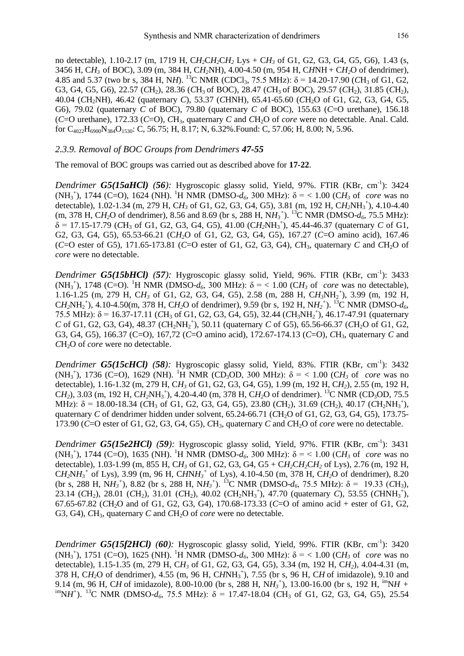no detectable), 1.10-2.17 (m, 1719 H, C*H2*C*H2*C*H<sup>2</sup>* Lys + C*H<sup>3</sup>* of G1, G2, G3, G4, G5, G6), 1.43 (s, 3456 H, C*H<sup>3</sup>* of BOC), 3.09 (m, 384 H, C*H2*NH), 4.00-4.50 (m, 954 H, C*H*NH + C*H2*O of dendrimer), 4.85 and 5.37 (two br s, 384 H, NH). <sup>13</sup>C NMR (CDCl<sub>3</sub>, 75.5 MHz):  $\delta$  = 14.20-17.90 (CH<sub>3</sub> of G1, G2, G3, G4, G5, G6), 22.57 (*C*H<sub>2</sub>), 28.36 (*C*H<sub>3</sub> of BOC), 28.47 (*C*H<sub>3</sub> of BOC), 29.57 (*C*H<sub>2</sub>), 31.85 (*C*H<sub>2</sub>), 40.04 (*C*H2NH), 46.42 (quaternary *C*), 53.37 (*C*HNH), 65.41-65.60 (*C*H2O of G1, G2, G3, G4, G5, G6), 79.02 (quaternary *C* of BOC), 79.80 (quaternary *C* of BOC), 155.63 (*C*=O urethane), 156.18 (*C*=O urethane), 172.33 (*C*=O), *C*H3, quaternary *C* and *C*H2O of *core* were no detectable. Anal. Cald. for C4022H6900N384O1530: C, 56.75; H, 8.17; N, 6.32%.Found: C, 57.06; H, 8.00; N, 5.96.

# *2.3.9. Removal of BOC Groups from Dendrimers 47-55*

The removal of BOC groups was carried out as described above for **17-22**.

*Dendrimer G5(15aHCl) (56):* Hygroscopic glassy solid, Yield, 97%. FTIR (KBr, cm<sup>-1</sup>): 3424 (NH<sub>3</sub><sup>+</sup>), 1744 (C=O), 1624 (NH). <sup>1</sup>H NMR (DMSO- $d_6$ , 300 MHz): δ = < 1.00 (CH<sub>3</sub> of *core* was no detectable), 1.02-1.34 (m, 279 H, C*H<sup>3</sup>* of G1, G2, G3, G4, G5), 3.81 (m, 192 H, C*H2*NH<sup>3</sup> + ), 4.10-4.40  $(m, 378 \text{ H}, \text{CH}_2\text{O} \text{ of } \text{dendrimer})$ , 8.56 and 8.69 (br s, 288 H, N $H_3^{\text{+}}$ ). <sup>13</sup>C NMR (DMSO- $d_6$ , 75.5 MHz):  $\delta$  = 17.15-17.79 (CH<sub>3</sub> of G1, G2, G3, G4, G5), 41.00 (CH<sub>2</sub>NH<sub>3</sub><sup>+</sup>), 45.44-46.37 (quaternary *C* of G1, G2, G3, G4, G5), 65.53-66.21 (C*H2*O of G1, G2, G3, G4, G5), 167.27 (*C*=O amino acid), 167.46 (*C*=O ester of G5), 171.65-173.81 (*C*=O ester of G1, G2, G3, G4), *C*H3, quaternary *C* and *C*H2O of *core* were no detectable.

*Dendrimer G5(15bHCl) (57):* Hygroscopic glassy solid, Yield, 96%. FTIR (KBr, cm<sup>-1</sup>): 3433 (NH<sub>3</sub><sup>+</sup>), 1748 (C=O). <sup>1</sup>H NMR (DMSO- $d_6$ , 300 MHz): δ = < 1.00 (CH<sub>3</sub> of *core* was no detectable), 1.16-1.25 (m, 279 H, CH<sub>3</sub> of G1, G2, G3, G4, G5), 2.58 (m, 288 H, CH<sub>3</sub>NH<sub>2</sub><sup>+</sup>), 3.99 (m, 192 H,  $CH_2NH_2^+$ ), 4.10-4.50(m, 378 H,  $CH_2O$  of dendrimer), 9.59 (br s, 192 H,  $NH_2^+$ ). <sup>13</sup>C NMR (DMSO- $d_6$ , 75.5 MHz):  $\delta$  = 16.37-17.11 (CH<sub>3</sub> of G1, G2, G3, G4, G5), 32.44 (CH<sub>3</sub>NH<sub>2</sub><sup>+</sup>), 46.17-47.91 (quaternary *C* of G1, G2, G3, G4), 48.37 ( $CH_2NH_2^+$ ), 50.11 (quaternary *C* of G5), 65.56-66.37 ( $CH_2O$  of G1, G2, G3, G4, G5), 166.37 (C=O), 167,72 (*C*=O amino acid), 172.67-174.13 (*C*=O), *C*H3, quaternary *C* and *C*H2O of *core* were no detectable.

*Dendrimer G5(15cHCl) (58):* Hygroscopic glassy solid, Yield, 83%. FTIR (KBr, cm<sup>-1</sup>): 3432 (NH<sub>3</sub><sup>+</sup>), 1736 (C=O), 1629 (NH). <sup>1</sup>H NMR (CD<sub>3</sub>OD, 300 MHz):  $\delta$  = < 1.00 (CH<sub>3</sub> of *core* was no detectable), 1.16-1.32 (m, 279 H, C*H<sup>3</sup>* of G1, G2, G3, G4, G5), 1.99 (m, 192 H, C*H2*), 2.55 (m, 192 H, C*H*<sub>2</sub>), 3.03 (m, 192 H, C*H*<sub>2</sub>NH<sub>3</sub><sup>+</sup>), 4.20-4.40 (m, 378 H, C*H*<sub>2</sub>O of dendrimer). <sup>13</sup>C NMR (CD<sub>3</sub>OD, 75.5 MHz):  $\delta = 18.00-18.34$  (*C*H<sub>3</sub> of G1, G2, G3, G4, G5), 23.80 (*C*H<sub>2</sub>), 31.69 (*CH*<sub>2</sub>), 40.17 (*CH*<sub>2</sub>)NH<sub>3</sub><sup>+</sup>), quaternary *C* of dendrimer hidden under solvent, 65.24-66.71 (*CH*<sub>2</sub>O of G1, G2, G3, G4, G5), 173.75-173.90 (*C*=O ester of G1, G2, G3, G4, G5), *C*H3, quaternary *C* and *C*H2O of *core* were no detectable.

*Dendrimer G5(15e2HCl) (59):* Hygroscopic glassy solid, Yield, 97%. FTIR (KBr, cm<sup>-1</sup>): 3431 (NH<sub>3</sub><sup>+</sup>), 1744 (C=O), 1635 (NH). <sup>1</sup>H NMR (DMSO- $d_6$ , 300 MHz): δ = < 1.00 (CH<sub>3</sub> of *core* was no detectable), 1.03-1.99 (m, 855 H, C*H<sup>3</sup>* of G1, G2, G3, G4, G5 + C*H2*C*H2*C*H<sup>2</sup>* of Lys), 2.76 (m, 192 H,  $CH_2NH_3^+$  of Lys), 3.99 (m, 96 H,  $CHNH_3^+$  of Lys), 4.10-4.50 (m, 378 H,  $CH_2O$  of dendrimer), 8.20 (br s, 288 H, N $H_3$ <sup>+</sup>), 8.82 (br s, 288 H, N $H_3$ <sup>+</sup>). <sup>13</sup>C NMR (DMSO- $d_6$ , 75.5 MHz):  $\delta$  = 19.33 (*C*H<sub>3</sub>), 23.14 (CH<sub>2</sub>), 28.01 (CH<sub>2</sub>), 31.01 (CH<sub>2</sub>), 40.02 (CH<sub>2</sub>NH<sub>3</sub><sup>+</sup>), 47.70 (quaternary *C*), 53.55 (CHNH<sub>3</sub><sup>+</sup>), 67.65-67.82 (*C*H2O and of G1, G2, G3, G4), 170.68-173.33 (*C*=O of amino acid + ester of G1, G2, G3, G4), CH<sub>3</sub>, quaternary C and CH<sub>2</sub>O of *core* were no detectable.

*Dendrimer G5(15f2HCl)* (60): Hygroscopic glassy solid, Yield, 99%. FTIR (KBr, cm<sup>-1</sup>): 3420 (NH<sub>3</sub><sup>+</sup>), 1751 (C=O), 1625 (NH). <sup>1</sup>H NMR (DMSO- $d_6$ , 300 MHz): δ = < 1.00 (CH<sub>3</sub> of *core* was no detectable), 1.15-1.35 (m, 279 H, C*H<sup>3</sup>* of G1, G2, G3, G4, G5), 3.34 (m, 192 H, C*H2*), 4.04-4.31 (m, 378 H, C*H2*O of dendrimer), 4.55 (m, 96 H, C*H*NH<sup>3</sup> + ), 7.55 (br s, 96 H, C*H* of imidazole), 9.10 and 9.14 (m, 96 H, CH of imidazole), 8.00-10.00 (br s, 288 H, NH<sub>3</sub><sup>+</sup>), 13.00-16.00 (br s, 192 H, <sup>im</sup>NH +  $\delta$ <sup>im</sup>N*H*<sup>+</sup>). <sup>13</sup>C NMR (DMSO-*d*<sub>6</sub>, 75.5 MHz): δ = 17.47-18.04 (*C*H<sub>3</sub> of G1, G2, G3, G4, G5), 25.54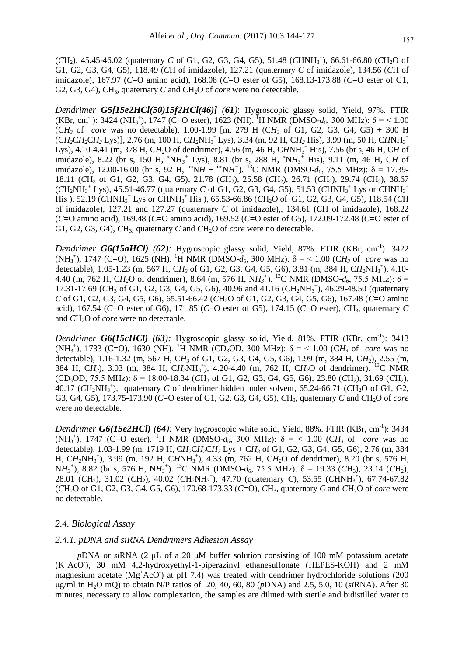(CH<sub>2</sub>), 45.45-46.02 (quaternary *C* of G1, G2, G3, G4, G5), 51.48 (CHNH<sub>3</sub><sup>+</sup>), 66.61-66.80 (CH<sub>2</sub>O of G1, G2, G3, G4, G5), 118.49 (*C*H of imidazole), 127.21 (quaternary *C* of imidazole), 134.56 (*C*H of imidazole), 167.97 (*C*=O amino acid), 168.08 (*C*=O ester of G5), 168.13-173.88 (*C*=O ester of G1, G2, G3, G4), CH<sub>3</sub>, quaternary *C* and CH<sub>2</sub>O of *core* were no detectable.

*Dendrimer G5[15e2HCl(50)15f2HCl(46)] (61)*: Hygroscopic glassy solid, Yield, 97%. FTIR (KBr, cm<sup>-1</sup>): 3424 (NH<sub>3</sub><sup>+</sup>), 1747 (C=O ester), 1623 (NH). <sup>1</sup>H NMR (DMSO- $d_6$ , 300 MHz):  $\delta$  = < 1.00 (CH<sub>3</sub> of *core* was no detectable), 1.00-1.99 [m, 279 H (CH<sub>3</sub> of G1, G2, G3, G4, G5) + 300 H (C*H2*C*H2*C*H<sup>2</sup>* Lys)], 2.76 (m, 100 H, C*H2*NH<sup>3</sup> <sup>+</sup>Lys), 3.34 (m, 92 H, C*H<sup>2</sup>* His), 3.99 (m, 50 H, C*H*NH<sup>3</sup> + Lys), 4.10-4.41 (m, 378 H, C*H2*O of dendrimer), 4.56 (m, 46 H, C*H*NH<sup>3</sup> <sup>+</sup> His), 7.56 (br s, 46 H, C*H* of imidazole), 8.22 (br s, 150 H, "N $H_3$ <sup>+</sup> Lys), 8.81 (br s, 288 H, "N $H_3$ <sup>+</sup> His), 9.11 (m, 46 H, CH of imidazole), 12.00-16.00 (br s, 92 H,  $\lim_{M}$  +  $\lim_{M}$  +  $\lim_{M}$ ). <sup>13</sup>C NMR (DMSO- $d_6$ , 75.5 MHz):  $\delta$  = 17.39-18.11 (*C*H<sup>3</sup> of G1, G2, G3, G4, G5), 21.78 (*C*H2), 25.58 (*C*H2), 26.71 (*C*H2), 29.74 (*C*H2), 38.67  $(CH_2NH_3^+$  Lys), 45.51-46.77 (quaternary *C* of G1, G2, G3, G4, G5), 51.53 ( $CHNH_3^+$  Lys or  $CHNH_3^+$ His ), 52.19 (*C*HNH<sup>3</sup> <sup>+</sup> Lys or *C*HNH<sup>3</sup> <sup>+</sup> His ), 65.53-66.86 (*C*H2O of G1, G2, G3, G4, G5), 118.54 (*C*H of imidazole), 127.21 and 127.27 (quaternary *C* of imidazole),, 134.61 (*C*H of imidazole), 168.22 (*C*=O amino acid), 169.48 (*C*=O amino acid), 169.52 (*C*=O ester of G5), 172.09-172.48 (*C*=O ester of G1, G2, G3, G4), CH<sub>3</sub>, quaternary C and CH<sub>2</sub>O of *core* were no detectable.

*Dendrimer G6(15aHCl) (62):* Hygroscopic glassy solid, Yield, 87%. FTIR (KBr, cm<sup>-1</sup>): 3422 (NH<sub>3</sub><sup>+</sup>), 1747 (C=O), 1625 (NH). <sup>1</sup>H NMR (DMSO- $d_6$ , 300 MHz): δ = < 1.00 (CH<sub>3</sub> of *core* was no detectable), 1.05-1.23 (m, 567 H, CH<sub>3</sub> of G1, G2, G3, G4, G5, G6), 3.81 (m, 384 H, CH<sub>2</sub>NH<sub>3</sub><sup>+</sup>), 4.10-4.40 (m, 762 H, CH<sub>2</sub>O of dendrimer), 8.64 (m, 576 H, NH<sub>3</sub><sup>+</sup>). <sup>13</sup>C NMR (DMSO- $d_6$ , 75.5 MHz): δ = 17.31-17.69 (CH<sub>3</sub> of G1, G2, G3, G4, G5, G6), 40.96 and 41.16 (CH<sub>2</sub>NH<sub>3</sub><sup>+</sup>), 46.29-48.50 (quaternary *C* of G1, G2, G3, G4, G5, G6), 65.51-66.42 (*C*H2O of G1, G2, G3, G4, G5, G6), 167.48 (*C*=O amino acid), 167.54 (*C*=O ester of G6), 171.85 (*C*=O ester of G5), 174.15 (*C*=O ester), *C*H3, quaternary *C* and *CH*<sub>2</sub>O of *core* were no detectable.

*Dendrimer G6(15cHCl) (63):* Hygroscopic glassy solid, Yield, 81%. FTIR (KBr, cm<sup>-1</sup>): 3413 (NH<sub>3</sub><sup>+</sup>), 1733 (C=O), 1630 (NH). <sup>1</sup>H NMR (CD<sub>3</sub>OD, 300 MHz):  $\delta$  = < 1.00 (CH<sub>3</sub> of *core* was no detectable), 1.16-1.32 (m, 567 H, C*H<sup>3</sup>* of G1, G2, G3, G4, G5, G6), 1.99 (m, 384 H, C*H2*), 2.55 (m, 384 H, C*H2*), 3.03 (m, 384 H, C*H2*NH<sup>3</sup> + ), 4.20-4.40 (m, 762 H, C*H2*O of dendrimer). <sup>13</sup>C NMR  $(CD_3OD, 75.5 MHz)$ :  $\delta = 18.00 - 18.34$   $(CH_3$  of G1, G2, G3, G4, G5, G6), 23.80  $(CH_2)$ , 31.69  $(CH_2)$ , 40.17 ( $CH_2NH_3^+$ ), quaternary *C* of dendrimer hidden under solvent, 65.24-66.71 ( $CH_2O$  of G1, G2, G3, G4, G5), 173.75-173.90 (*C*=O ester of G1, G2, G3, G4, G5), *C*H3, quaternary *C* and *C*H2O of *core* were no detectable.

*Dendrimer G6(15e2HCl)* (64): Very hygroscopic white solid, Yield, 88%. FTIR (KBr, cm<sup>-1</sup>): 3434 (NH<sub>3</sub><sup>+</sup>), 1747 (C=O ester). <sup>1</sup>H NMR (DMSO- $d_6$ , 300 MHz):  $\delta$  = < 1.00 (CH<sub>3</sub> of *core* was no detectable), 1.03-1.99 (m, 1719 H, C*H2*C*H2*C*H<sup>2</sup>* Lys + C*H<sup>3</sup>* of G1, G2, G3, G4, G5, G6), 2.76 (m, 384 H, C*H2*NH<sup>3</sup> + ), 3.99 (m, 192 H, C*H*NH<sup>3</sup> + ), 4.33 (m, 762 H, C*H2*O of dendrimer), 8.20 (br s, 576 H,  $NH_3$ <sup>+</sup>), 8.82 (br s, 576 H,  $NH_3$ <sup>+</sup>). <sup>13</sup>C NMR (DMSO- $d_6$ , 75.5 MHz):  $\delta$  = 19.33 (*C*H<sub>3</sub>), 23.14 (*C*H<sub>2</sub>), 28.01 (CH<sub>2</sub>), 31.02 (CH<sub>2</sub>), 40.02 (CH<sub>2</sub>NH<sub>3</sub><sup>+</sup>), 47.70 (quaternary *C*), 53.55 (CHNH<sub>3</sub><sup>+</sup>), 67.74-67.82 (*C*H2O of G1, G2, G3, G4, G5, G6), 170.68-173.33 (*C*=O), *C*H3, quaternary *C* and *C*H2O of *core* were no detectable.

#### *2.4. Biological Assay*

#### *2.4.1. pDNA and siRNA Dendrimers Adhesion Assay*

*p*DNA or *si*RNA (2 μL of a 20 μM buffer solution consisting of 100 mM potassium acetate (K<sup>+</sup>AcO), 30 mM 4,2-hydroxyethyl-1-piperazinyl ethanesulfonate (HEPES-KOH) and 2 mM magnesium acetate ( $Mg^+AcO$ ) at pH 7.4) was treated with dendrimer hydrochloride solutions (200 μg/ml in H2O mQ) to obtain N/P ratios of 20, 40, 60, 80 (*p*DNA) and 2.5, 5.0, 10 (*si*RNA). After 30 minutes, necessary to allow complexation, the samples are diluted with sterile and bidistilled water to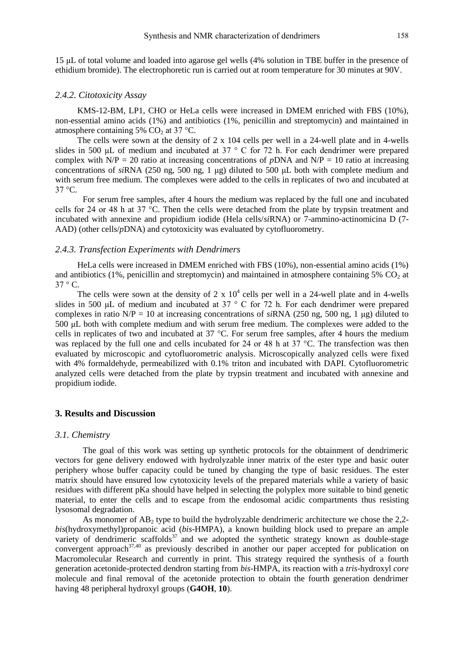15 μL of total volume and loaded into agarose gel wells (4% solution in TBE buffer in the presence of ethidium bromide). The electrophoretic run is carried out at room temperature for 30 minutes at 90V.

#### *2.4.2. Citotoxicity Assay*

KMS-12-BM, LP1, CHO or HeLa cells were increased in DMEM enriched with FBS (10%), non-essential amino acids (1%) and antibiotics (1%, penicillin and streptomycin) and maintained in atmosphere containing 5%  $CO<sub>2</sub>$  at 37 °C.

The cells were sown at the density of 2 x 104 cells per well in a 24-well plate and in 4-wells slides in 500 μL of medium and incubated at 37 ° C for 72 h. For each dendrimer were prepared complex with  $N/P = 20$  ratio at increasing concentrations of *pDNA* and  $N/P = 10$  ratio at increasing concentrations of *si*RNA (250 ng, 500 ng, 1 μg) diluted to 500 μL both with complete medium and with serum free medium. The complexes were added to the cells in replicates of two and incubated at  $37 \text{ °C}$ .

For serum free samples, after 4 hours the medium was replaced by the full one and incubated cells for 24 or 48 h at 37 °C. Then the cells were detached from the plate by trypsin treatment and incubated with annexine and propidium iodide (Hela cells/*si*RNA) or 7-ammino-actinomicina D (7- AAD) (other cells/*p*DNA) and cytotoxicity was evaluated by cytofluorometry.

#### *2.4.3. Transfection Experiments with Dendrimers*

HeLa cells were increased in DMEM enriched with FBS (10%), non-essential amino acids (1%) and antibiotics (1%, penicillin and streptomycin) and maintained in atmosphere containing 5%  $CO<sub>2</sub>$  at  $37 \degree$  C.

The cells were sown at the density of  $2 \times 10^4$  cells per well in a 24-well plate and in 4-wells slides in 500 μL of medium and incubated at 37 ° C for 72 h. For each dendrimer were prepared complexes in ratio N/P = 10 at increasing concentrations of *si*RNA (250 ng, 500 ng, 1 μg) diluted to 500 μL both with complete medium and with serum free medium. The complexes were added to the cells in replicates of two and incubated at 37 °C. For serum free samples, after 4 hours the medium was replaced by the full one and cells incubated for 24 or 48 h at 37 °C. The transfection was then evaluated by microscopic and cytofluorometric analysis. Microscopically analyzed cells were fixed with 4% formaldehyde, permeabilized with 0.1% triton and incubated with DAPI. Cytofluorometric analyzed cells were detached from the plate by trypsin treatment and incubated with annexine and propidium iodide.

# **3. Results and Discussion**

#### *3.1. Chemistry*

The goal of this work was setting up synthetic protocols for the obtainment of dendrimeric vectors for gene delivery endowed with hydrolyzable inner matrix of the ester type and basic outer periphery whose buffer capacity could be tuned by changing the type of basic residues. The ester matrix should have ensured low cytotoxicity levels of the prepared materials while a variety of basic residues with different pKa should have helped in selecting the polyplex more suitable to bind genetic material, to enter the cells and to escape from the endosomal acidic compartments thus resisting lysosomal degradation.

As monomer of  $AB_2$  type to build the hydrolyzable dendrimeric architecture we chose the 2,2*bis*(hydroxymethyl)propanoic acid (*bis*-HMPA), a known building block used to prepare an ample variety of dendrimeric scaffolds<sup>37</sup> and we adopted the synthetic strategy known as double-stage convergent approach<sup>37,40</sup> as previously described in another our paper accepted for publication on Macromolecular Research and currently in print. This strategy required the synthesis of a fourth generation acetonide-protected dendron starting from *bis*-HMPA, its reaction with a *tris-*hydroxyl *core* molecule and final removal of the acetonide protection to obtain the fourth generation dendrimer having 48 peripheral hydroxyl groups (**G4OH**, **10**).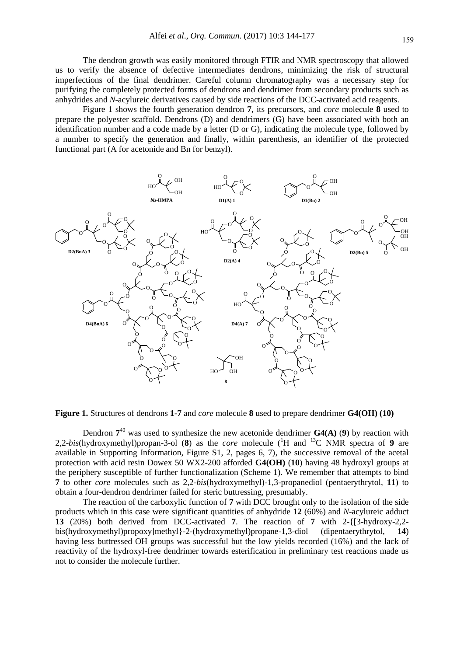The dendron growth was easily monitored through FTIR and NMR spectroscopy that allowed us to verify the absence of defective intermediates dendrons, minimizing the risk of structural imperfections of the final dendrimer. Careful column chromatography was a necessary step for purifying the completely protected forms of dendrons and dendrimer from secondary products such as anhydrides and *N*-acylureic derivatives caused by side reactions of the DCC-activated acid reagents.

Figure 1 shows the fourth generation dendron **7**, its precursors, and *core* molecule **8** used to prepare the polyester scaffold. Dendrons (D) and dendrimers (G) have been associated with both an identification number and a code made by a letter (D or G), indicating the molecule type, followed by a number to specify the generation and finally, within parenthesis, an identifier of the protected functional part (A for acetonide and Bn for benzyl).



**Figure 1.** Structures of dendrons **1-7** and *core* molecule **8** used to prepare dendrimer **G4(OH) (10)**

Dendron  $7^{40}$  was used to synthesize the new acetonide dendrimer  $G4(A)$  (9) by reaction with 2,2-*bis*(hydroxymethyl)propan-3-ol (**8**) as the *core* molecule ( <sup>1</sup>H and <sup>13</sup>C NMR spectra of **9** are available in Supporting Information, Figure S1, 2, pages 6, 7), the successive removal of the acetal protection with acid resin Dowex 50 WX2-200 afforded **G4(OH)** (**10**) having 48 hydroxyl groups at the periphery susceptible of further functionalization (Scheme 1). We remember that attempts to bind **7** to other *core* molecules such as 2,2-*bis*(hydroxymethyl)-1,3-propanediol (pentaerythrytol, **11**) to obtain a four-dendron dendrimer failed for steric buttressing, presumably.

The reaction of the carboxylic function of **7** with DCC brought only to the isolation of the side products which in this case were significant quantities of anhydride **12** (60%) and *N*-acylureic adduct **13** (20%) both derived from DCC-activated **7**. The reaction of **7** with 2-{[3-hydroxy-2,2 bis(hydroxymethyl)propoxy]methyl}-2-(hydroxymethyl)propane-1,3-diol (dipentaerythrytol, **14**) having less buttressed OH groups was successful but the low yields recorded (16%) and the lack of reactivity of the hydroxyl-free dendrimer towards esterification in preliminary test reactions made us not to consider the molecule further.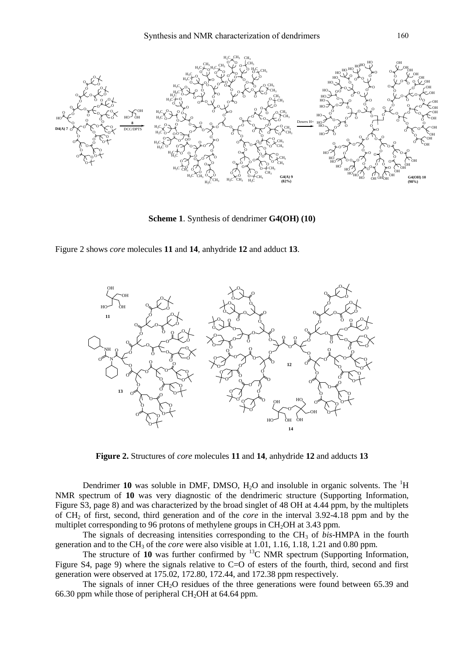

**Scheme 1**. Synthesis of dendrimer **G4(OH) (10)**

Figure 2 shows *core* molecules **11** and **14**, anhydride **12** and adduct **13**.



**Figure 2.** Structures of *core* molecules **11** and **14**, anhydride **12** and adducts **13**

Dendrimer 10 was soluble in DMF, DMSO,  $H_2O$  and insoluble in organic solvents. The <sup>1</sup>H NMR spectrum of **10** was very diagnostic of the dendrimeric structure (Supporting Information, Figure S3, page 8) and was characterized by the broad singlet of 48 OH at 4.44 ppm, by the multiplets of CH<sup>2</sup> of first, second, third generation and of the *core* in the interval 3.92-4.18 ppm and by the multiplet corresponding to 96 protons of methylene groups in  $CH<sub>2</sub>OH$  at 3.43 ppm.

The signals of decreasing intensities corresponding to the CH<sub>3</sub> of *bis*-HMPA in the fourth generation and to the CH<sub>3</sub> of the *core* were also visible at 1.01, 1.16, 1.18, 1.21 and 0.80 ppm.

The structure of  $10$  was further confirmed by  $^{13}$ C NMR spectrum (Supporting Information, Figure S4, page 9) where the signals relative to C=O of esters of the fourth, third, second and first generation were observed at 175.02, 172.80, 172.44, and 172.38 ppm respectively.

The signals of inner  $CH<sub>2</sub>O$  residues of the three generations were found between 65.39 and 66.30 ppm while those of peripheral  $CH<sub>2</sub>OH$  at 64.64 ppm.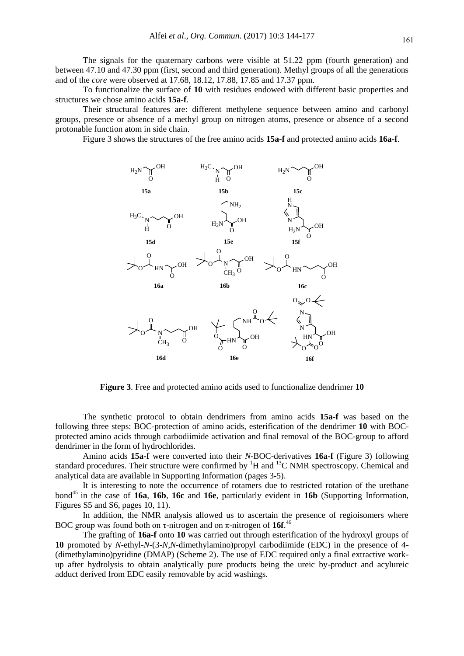The signals for the quaternary carbons were visible at 51.22 ppm (fourth generation) and between 47.10 and 47.30 ppm (first, second and third generation). Methyl groups of all the generations and of the *core* were observed at 17.68, 18.12, 17.88, 17.85 and 17.37 ppm.

To functionalize the surface of **10** with residues endowed with different basic properties and structures we chose amino acids **15a-f**.

Their structural features are: different methylene sequence between amino and carbonyl groups, presence or absence of a methyl group on nitrogen atoms, presence or absence of a second protonable function atom in side chain.

Figure 3 shows the structures of the free amino acids **15a-f** and protected amino acids **16a-f**.



**Figure 3**. Free and protected amino acids used to functionalize dendrimer **10**

The synthetic protocol to obtain dendrimers from amino acids **15a-f** was based on the following three steps: BOC-protection of amino acids, esterification of the dendrimer **10** with BOCprotected amino acids through carbodiimide activation and final removal of the BOC-group to afford dendrimer in the form of hydrochlorides.

Amino acids **15a-f** were converted into their *N*-BOC-derivatives **16a-f** (Figure 3) following standard procedures. Their structure were confirmed by  ${}^{1}H$  and  ${}^{13}C$  NMR spectroscopy. Chemical and analytical data are available in Supporting Information (pages 3-5).

It is interesting to note the occurrence of rotamers due to restricted rotation of the urethane bond<sup>45</sup> in the case of **16a**, **16b**, **16c** and **16e**, particularly evident in **16b** (Supporting Information, Figures S5 and S6, pages 10, 11).

In addition, the NMR analysis allowed us to ascertain the presence of regioisomers where BOC group was found both on τ-nitrogen and on π-nitrogen of **16f**. 46

The grafting of **16a-f** onto **10** was carried out through esterification of the hydroxyl groups of **10** promoted by *N*-ethyl-*N*-(3-*N,N*-dimethylamino)propyl carbodiimide (EDC) in the presence of 4- (dimethylamino)pyridine (DMAP) (Scheme 2). The use of EDC required only a final extractive workup after hydrolysis to obtain analytically pure products being the ureic by-product and acylureic adduct derived from EDC easily removable by acid washings.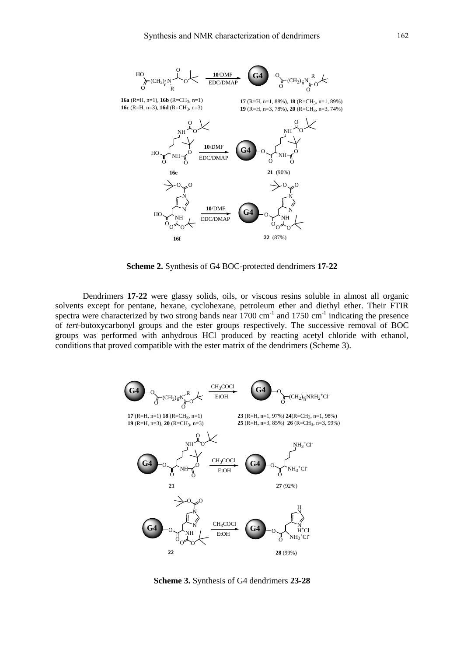

**Scheme 2.** Synthesis of G4 BOC-protected dendrimers **17-22**

Dendrimers **17-22** were glassy solids, oils, or viscous resins soluble in almost all organic solvents except for pentane, hexane, cyclohexane, petroleum ether and diethyl ether. Their FTIR spectra were characterized by two strong bands near  $1700 \text{ cm}^{-1}$  and  $1750 \text{ cm}^{-1}$  indicating the presence of *tert*-butoxycarbonyl groups and the ester groups respectively. The successive removal of BOC groups was performed with anhydrous HCl produced by reacting acetyl chloride with ethanol, conditions that proved compatible with the ester matrix of the dendrimers (Scheme 3).



**Scheme 3.** Synthesis of G4 dendrimers **23-28**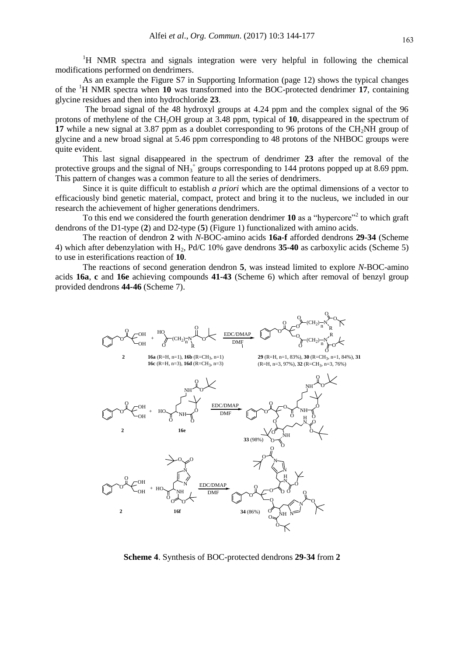<sup>1</sup>H NMR spectra and signals integration were very helpful in following the chemical modifications performed on dendrimers.

As an example the Figure S7 in Supporting Information (page 12) shows the typical changes of the <sup>1</sup>H NMR spectra when **10** was transformed into the BOC-protected dendrimer **17**, containing glycine residues and then into hydrochloride **23**.

The broad signal of the 48 hydroxyl groups at 4.24 ppm and the complex signal of the 96 protons of methylene of the CH2OH group at 3.48 ppm, typical of **10**, disappeared in the spectrum of **17** while a new signal at 3.87 ppm as a doublet corresponding to 96 protons of the CH<sub>2</sub>NH group of glycine and a new broad signal at 5.46 ppm corresponding to 48 protons of the NHBOC groups were quite evident.

This last signal disappeared in the spectrum of dendrimer **23** after the removal of the protective groups and the signal of  $NH_3^+$  groups corresponding to 144 protons popped up at 8.69 ppm. This pattern of changes was a common feature to all the series of dendrimers.

Since it is quite difficult to establish *a priori* which are the optimal dimensions of a vector to efficaciously bind genetic material, compact, protect and bring it to the nucleus, we included in our research the achievement of higher generations dendrimers.

To this end we considered the fourth generation dendrimer 10 as a "hypercore"<sup>2</sup> to which graft dendrons of the D1-type (**2**) and D2-type (**5**) (Figure 1) functionalized with amino acids.

The reaction of dendron **2** with *N*-BOC-amino acids **16a-f** afforded dendrons **29-34** (Scheme 4) which after debenzylation with H2, Pd/C 10% gave dendrons **35-40** as carboxylic acids (Scheme 5) to use in esterifications reaction of **10**.

The reactions of second generation dendron **5**, was instead limited to explore *N*-BOC-amino acids **16a**, **c** and **16e** achieving compounds **41-43** (Scheme 6) which after removal of benzyl group provided dendrons **44-46** (Scheme 7).



**Scheme 4**. Synthesis of BOC-protected dendrons **29-34** from **2**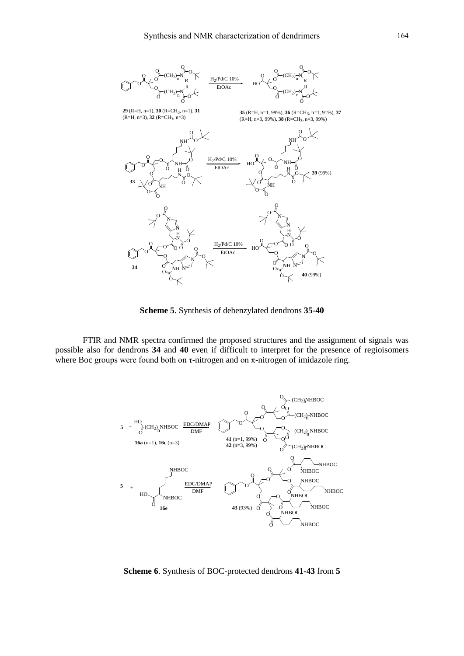

**Scheme 5**. Synthesis of debenzylated dendrons **35-40**

FTIR and NMR spectra confirmed the proposed structures and the assignment of signals was possible also for dendrons **34** and **40** even if difficult to interpret for the presence of regioisomers where Boc groups were found both on  $\tau$ -nitrogen and on  $\pi$ -nitrogen of imidazole ring.



**Scheme 6**. Synthesis of BOC-protected dendrons **41-43** from **5**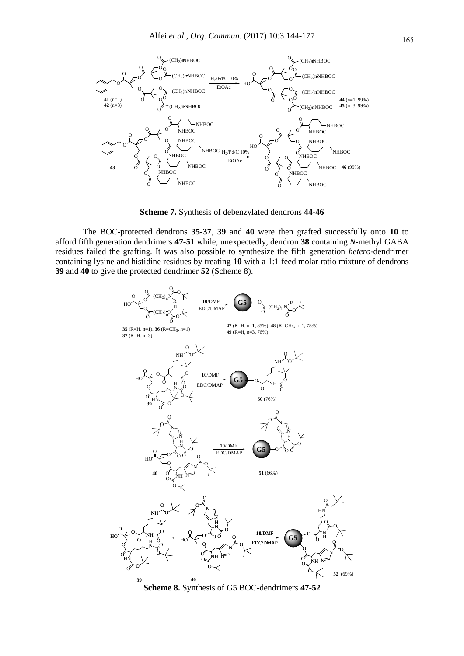

**Scheme 7.** Synthesis of debenzylated dendrons **44-46**

The BOC-protected dendrons **35-37**, **39** and **40** were then grafted successfully onto **10** to afford fifth generation dendrimers **47-51** while, unexpectedly, dendron **38** containing *N*-methyl GABA residues failed the grafting. It was also possible to synthesize the fifth generation *hetero*-dendrimer containing lysine and histidine residues by treating **10** with a 1:1 feed molar ratio mixture of dendrons **39** and **40** to give the protected dendrimer **52** (Scheme 8).



**Scheme 8.** Synthesis of G5 BOC-dendrimers **47-52**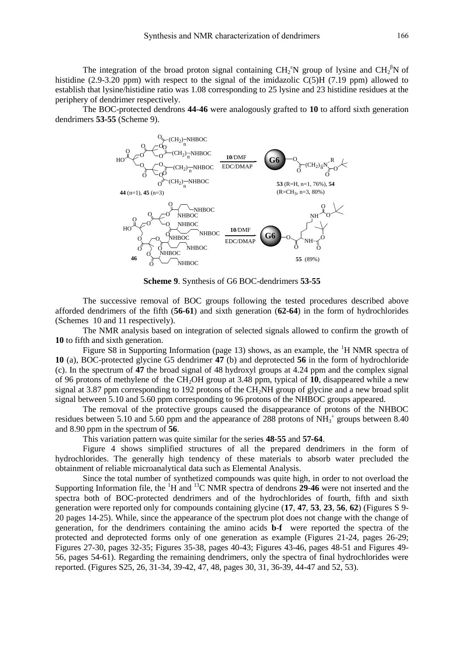The integration of the broad proton signal containing  $CH_2^{\circ}N$  group of lysine and  $CH_2^{\circ}N$  of histidine (2.9-3.20 ppm) with respect to the signal of the imidazolic C(5)H (7.19 ppm) allowed to establish that lysine/histidine ratio was 1.08 corresponding to 25 lysine and 23 histidine residues at the periphery of dendrimer respectively.

The BOC-protected dendrons **44-46** were analogously grafted to **10** to afford sixth generation dendrimers **53-55** (Scheme 9).



**Scheme 9**. Synthesis of G6 BOC-dendrimers **53-55**

The successive removal of BOC groups following the tested procedures described above afforded dendrimers of the fifth (**56-61**) and sixth generation (**62-64**) in the form of hydrochlorides (Schemes 10 and 11 respectively).

The NMR analysis based on integration of selected signals allowed to confirm the growth of **10** to fifth and sixth generation.

Figure S8 in Supporting Information (page 13) shows, as an example, the  ${}^{1}H$  NMR spectra of **10** (a), BOC-protected glycine G5 dendrimer **47** (b) and deprotected **56** in the form of hydrochloride (c). In the spectrum of **47** the broad signal of 48 hydroxyl groups at 4.24 ppm and the complex signal of 96 protons of methylene of the CH2OH group at 3.48 ppm, typical of **10**, disappeared while a new signal at 3.87 ppm corresponding to 192 protons of the  $CH<sub>2</sub>NH$  group of glycine and a new broad split signal between 5.10 and 5.60 ppm corresponding to 96 protons of the NHBOC groups appeared.

The removal of the protective groups caused the disappearance of protons of the NHBOC residues between 5.10 and 5.60 ppm and the appearance of 288 protons of  $NH_3^+$  groups between 8.40 and 8.90 ppm in the spectrum of **56**.

This variation pattern was quite similar for the series **48-55** and **57-64**.

Figure 4 shows simplified structures of all the prepared dendrimers in the form of hydrochlorides. The generally high tendency of these materials to absorb water precluded the obtainment of reliable microanalytical data such as Elemental Analysis.

Since the total number of synthetized compounds was quite high, in order to not overload the Supporting Information file, the <sup>1</sup>H and <sup>13</sup>C NMR spectra of dendrons **29**-**46** were not inserted and the spectra both of BOC-protected dendrimers and of the hydrochlorides of fourth, fifth and sixth generation were reported only for compounds containing glycine (**17**, **47**, **53**, **23**, **56**, **62**) (Figures S 9- 20 pages 14-25). While, since the appearance of the spectrum plot does not change with the change of generation, for the dendrimers containing the amino acids **b**-**f** were reported the spectra of the protected and deprotected forms only of one generation as example (Figures 21-24, pages 26-29; Figures 27-30, pages 32-35; Figures 35-38, pages 40-43; Figures 43-46, pages 48-51 and Figures 49- 56, pages 54-61). Regarding the remaining dendrimers, only the spectra of final hydrochlorides were reported. (Figures S25, 26, 31-34, 39-42, 47, 48, pages 30, 31, 36-39, 44-47 and 52, 53).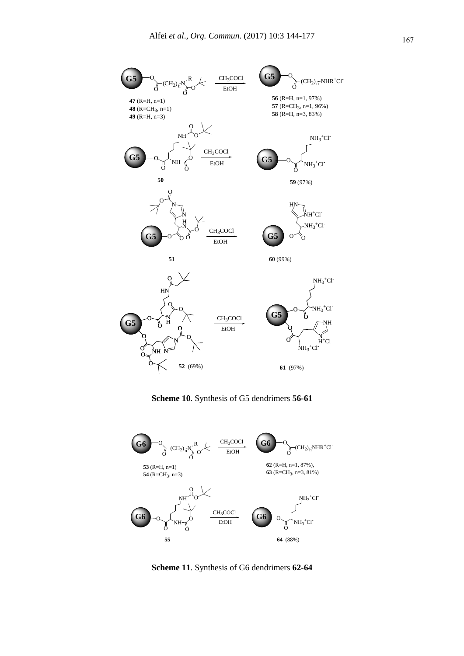

**Scheme 10**. Synthesis of G5 dendrimers **56-61**



**Scheme 11**. Synthesis of G6 dendrimers **62-64**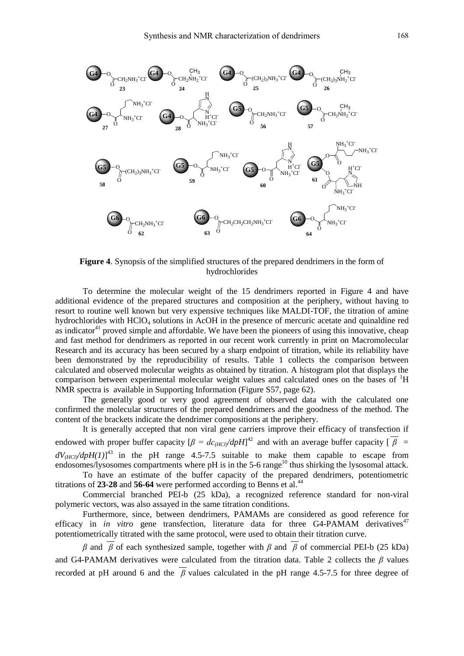

**Figure 4**. Synopsis of the simplified structures of the prepared dendrimers in the form of hydrochlorides

To determine the molecular weight of the 15 dendrimers reported in Figure 4 and have additional evidence of the prepared structures and composition at the periphery, without having to resort to routine well known but very expensive techniques like MALDI-TOF, the titration of amine hydrochlorides with HClO<sub>4</sub> solutions in AcOH in the presence of mercuric acetate and quinaldine red as indicator $41$  proved simple and affordable. We have been the pioneers of using this innovative, cheap and fast method for dendrimers as reported in our recent work currently in print on Macromolecular Research and its accuracy has been secured by a sharp endpoint of titration, while its reliability have been demonstrated by the reproducibility of results. Table 1 collects the comparison between calculated and observed molecular weights as obtained by titration. A histogram plot that displays the comparison between experimental molecular weight values and calculated ones on the bases of  ${}^{1}H$ NMR spectra is available in Supporting Information (Figure S57, page 62).

The generally good or very good agreement of observed data with the calculated one confirmed the molecular structures of the prepared dendrimers and the goodness of the method. The content of the brackets indicate the dendrimer compositions at the periphery.

It is generally accepted that non viral gene carriers improve their efficacy of transfection if endowed with proper buffer capacity  $[\beta = dc_{(HCl)}/dpH]$ <sup>42</sup> and with an average buffer capacity  $[\overline{\beta}] =$  $dV_{(HCl)}/dpH(I)]^{43}$  in the pH range 4.5-7.5 suitable to make them capable to escape from endosomes/lysosomes compartments where  $pH$  is in the 5-6 range<sup>10</sup> thus shirking the lysosomal attack.

To have an estimate of the buffer capacity of the prepared dendrimers, potentiometric titrations of 23-28 and 56-64 were performed according to Benns et al.<sup>44</sup>

Commercial branched PEI-b (25 kDa), a recognized reference standard for non-viral polymeric vectors, was also assayed in the same titration conditions.

Furthermore, since, between dendrimers, PAMAMs are considered as good reference for efficacy in *in vitro* gene transfection, literature data for three G4-PAMAM derivatives<sup>47</sup> potentiometrically titrated with the same protocol, were used to obtain their titration curve.

*β* and  $\overline{β}$  of each synthesized sample, together with *β* and  $\overline{β}$  of commercial PEI-b (25 kDa) and G4-PAMAM derivatives were calculated from the titration data. Table 2 collects the *β* values recorded at pH around 6 and the *β* values calculated in the pH range 4.5-7.5 for three degree of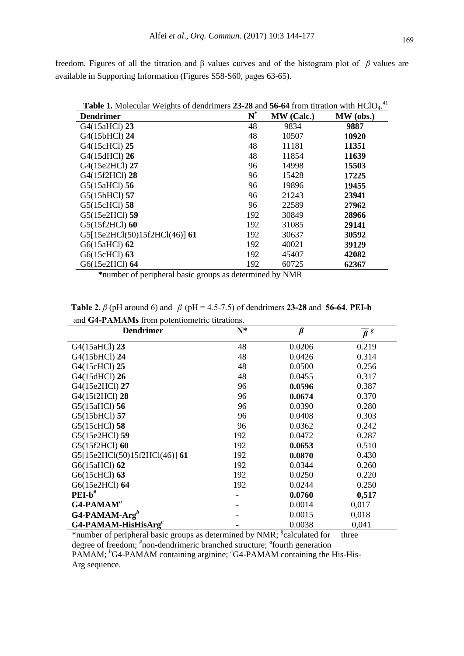freedom. Figures of all the titration and β values curves and of the histogram plot of *β* values are available in Supporting Information (Figures S58-S60, pages 63-65).

| <b>Dendrimer</b>              | $\overline{\bf N}^*$ | MW (Calc.) | MW (obs.) |
|-------------------------------|----------------------|------------|-----------|
| G4(15aHCl) 23                 | 48                   | 9834       | 9887      |
| G4(15bHCl) 24                 | 48                   | 10507      | 10920     |
| G4(15cHCl) 25                 | 48                   | 11181      | 11351     |
| G4(15dHCl) 26                 | 48                   | 11854      | 11639     |
| G4(15e2HCl) 27                | 96                   | 14998      | 15503     |
| G4(15f2HCl) 28                | 96                   | 15428      | 17225     |
| G5(15aHCl) 56                 | 96                   | 19896      | 19455     |
| G5(15bHCl) 57                 | 96                   | 21243      | 23941     |
| G5(15cHCl) 58                 | 96                   | 22589      | 27962     |
| G5(15e2HCl) 59                | 192                  | 30849      | 28966     |
| G5(15f2HCl) 60                | 192                  | 31085      | 29141     |
| G5[15e2HCl(50)15f2HCl(46)] 61 | 192                  | 30637      | 30592     |
| G6(15aHCl) 62                 | 192                  | 40021      | 39129     |
| G6(15cHCl) 63                 | 192                  | 45407      | 42082     |
| G6(15e2HCl) 64                | 192                  | 60725      | 62367     |

 **\***number of peripheral basic groups as determined by NMR

 **Table 2.**  $\beta$  (pH around 6) and  $\overline{\beta}$  (pH = 4.5-7.5) of dendrimers **23-28** and **56-64**, **PEI-b** and **G4-PAMAMs** from potentiometric titrations.

| and G+-1 ADIADES HOTH PORTRIGHICHIC HUADOIS. |       |         |                      |
|----------------------------------------------|-------|---------|----------------------|
| <b>Dendrimer</b>                             | $N^*$ | $\beta$ | $\overline{\beta}$ s |
| G4(15aHCl) 23                                | 48    | 0.0206  | 0.219                |
| G4(15bHCl) 24                                | 48    | 0.0426  | 0.314                |
| G4(15cHCl) 25                                | 48    | 0.0500  | 0.256                |
| G4(15dHCl) 26                                | 48    | 0.0455  | 0.317                |
| G4(15e2HCl) 27                               | 96    | 0.0596  | 0.387                |
| G4(15f2HCl) 28                               | 96    | 0.0674  | 0.370                |
| G5(15aHCl) 56                                | 96    | 0.0390  | 0.280                |
| G5(15bHCl) 57                                | 96    | 0.0408  | 0.303                |
| G5(15cHCl) 58                                | 96    | 0.0362  | 0.242                |
| G5(15e2HCl) 59                               | 192   | 0.0472  | 0.287                |
| G5(15f2HCl) 60                               | 192   | 0.0653  | 0.510                |
| G5[15e2HCl(50)15f2HCl(46)] 61                | 192   | 0.0870  | 0.430                |
| G6(15aHCl) 62                                | 192   | 0.0344  | 0.260                |
| G6(15cHCl) 63                                | 192   | 0.0250  | 0.220                |
| G6(15e2HCl) 64                               | 192   | 0.0244  | 0.250                |
| $PEI-b^*$                                    |       | 0.0760  | 0,517                |
| $G4$ -PAMAM <sup>a</sup>                     |       | 0.0014  | 0,017                |
| $G4$ -PAMAM-Arg <sup>b</sup>                 |       | 0.0015  | 0,018                |
| $G4$ -PAMAM-HisHisArg <sup>c</sup>           |       | 0.0038  | 0,041                |

\*number of peripheral basic groups as determined by NMR; § calculated for three degree of freedom; <sup>#</sup>non-dendrimeric branched structure; <sup>a</sup>fourth generation PAMAM; <sup>*b*</sup>G4-PAMAM containing arginine; <sup>*c*</sup>G4-PAMAM containing the His-His-Arg sequence.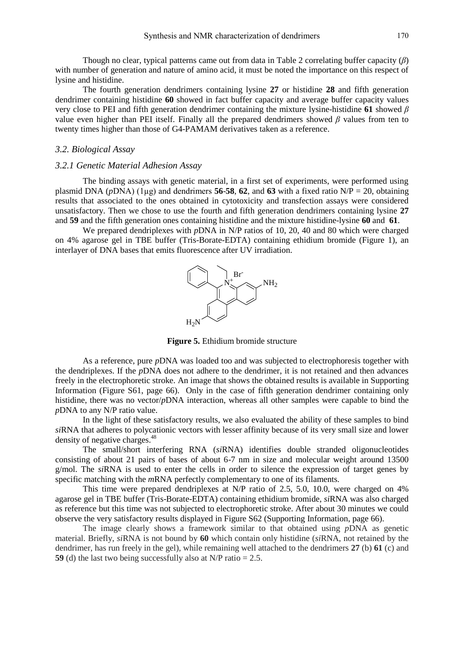Though no clear, typical patterns came out from data in Table 2 correlating buffer capacity (*β*) with number of generation and nature of amino acid, it must be noted the importance on this respect of lysine and histidine.

The fourth generation dendrimers containing lysine **27** or histidine **28** and fifth generation dendrimer containing histidine **60** showed in fact buffer capacity and average buffer capacity values very close to PEI and fifth generation dendrimer containing the mixture lysine-histidine **61** showed *β* value even higher than PEI itself. Finally all the prepared dendrimers showed *β* values from ten to twenty times higher than those of G4-PAMAM derivatives taken as a reference.

# *3.2. Biological Assay*

# *3.2.1 Genetic Material Adhesion Assay*

The binding assays with genetic material, in a first set of experiments, were performed using plasmid DNA ( $p$ DNA) ( $1\mu$ g) and dendrimers **56-58**, **62**, and **63** with a fixed ratio N/P = 20, obtaining results that associated to the ones obtained in cytotoxicity and transfection assays were considered unsatisfactory. Then we chose to use the fourth and fifth generation dendrimers containing lysine **27** and **59** and the fifth generation ones containing histidine and the mixture histidine-lysine **60** and **61**.

We prepared dendriplexes with *p*DNA in N/P ratios of 10, 20, 40 and 80 which were charged on 4% agarose gel in TBE buffer (Tris-Borate-EDTA) containing ethidium bromide (Figure 1), an interlayer of DNA bases that emits fluorescence after UV irradiation.



**Figure 5.** Ethidium bromide structure

As a reference, pure *p*DNA was loaded too and was subjected to electrophoresis together with the dendriplexes. If the *p*DNA does not adhere to the dendrimer, it is not retained and then advances freely in the electrophoretic stroke. An image that shows the obtained results is available in Supporting Information (Figure S61, page 66). Only in the case of fifth generation dendrimer containing only histidine, there was no vector/*p*DNA interaction, whereas all other samples were capable to bind the *p*DNA to any N/P ratio value.

In the light of these satisfactory results, we also evaluated the ability of these samples to bind *si*RNA that adheres to polycationic vectors with lesser affinity because of its very small size and lower density of negative charges.<sup>48</sup>

The small/short interfering RNA (*si*RNA) identifies double stranded oligonucleotides consisting of about 21 pairs of bases of about 6-7 nm in size and molecular weight around 13500 g/mol. The *si*RNA is used to enter the cells in order to silence the expression of target genes by specific matching with the *m*RNA perfectly complementary to one of its filaments.

This time were prepared dendriplexes at N/P ratio of 2.5, 5.0, 10.0, were charged on 4% agarose gel in TBE buffer (Tris-Borate-EDTA) containing ethidium bromide, *si*RNA was also charged as reference but this time was not subjected to electrophoretic stroke. After about 30 minutes we could observe the very satisfactory results displayed in Figure S62 (Supporting Information, page 66).

The image clearly shows a framework similar to that obtained using *p*DNA as genetic material. Briefly, *si*RNA is not bound by **60** which contain only histidine (*si*RNA, not retained by the dendrimer, has run freely in the gel), while remaining well attached to the dendrimers **27** (b) **61** (c) and **59** (d) the last two being successfully also at N/P ratio = 2.5.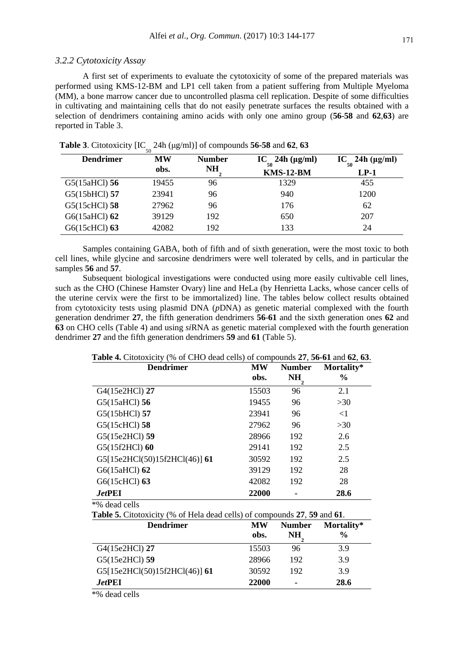#### *3.2.2 Cytotoxicity Assay*

A first set of experiments to evaluate the cytotoxicity of some of the prepared materials was performed using KMS-12-BM and LP1 cell taken from a patient suffering from Multiple Myeloma (MM), a bone marrow cancer due to uncontrolled plasma cell replication. Despite of some difficulties in cultivating and maintaining cells that do not easily penetrate surfaces the results obtained with a selection of dendrimers containing amino acids with only one amino group (**56**-**58** and **62**,**63**) are reported in Table 3.

| <b>Dendrimer</b> | MW    | <b>Number</b> | $IC_{\dots}$ 24h ( $\mu$ g/ml) | $IC_{\ldots}$ 24h ( $\mu$ g/ml) |  |
|------------------|-------|---------------|--------------------------------|---------------------------------|--|
|                  | obs.  | NH            | <b>KMS-12-BM</b>               | $LP-1$                          |  |
| $G5(15aHCl)$ 56  | 19455 | 96            | 1329                           | 455                             |  |
| G5(15bHCl) 57    | 23941 | 96            | 940                            | 1200                            |  |
| G5(15cHCl) 58    | 27962 | 96            | 176                            | 62                              |  |
| G6(15aHCl) 62    | 39129 | 192           | 650                            | 207                             |  |
| G6(15cHCl) 63    | 42082 | 192           | 133                            | 24                              |  |

 **Table 3**. Citotoxicity  $\left[IC_{50} 24h \left( \mu g/ml \right) \right]$  of compounds **56-58** and **62**, **63** 

Samples containing GABA, both of fifth and of sixth generation, were the most toxic to both cell lines, while glycine and sarcosine dendrimers were well tolerated by cells, and in particular the samples **56** and **57**.

Subsequent biological investigations were conducted using more easily cultivable cell lines, such as the CHO (Chinese Hamster Ovary) line and HeLa (by Henrietta Lacks, whose cancer cells of the uterine cervix were the first to be immortalized) line. The tables below collect results obtained from cytotoxicity tests using plasmid DNA (*p*DNA) as genetic material complexed with the fourth generation dendrimer **27**, the fifth generation dendrimers **56**-**61** and the sixth generation ones **62** and **63** on CHO cells (Table 4) and using *si*RNA as genetic material complexed with the fourth generation dendrimer **27** and the fifth generation dendrimers **59** and **61** (Table 5).

 **Table 4.** Citotoxicity (% of CHO dead cells) of compounds **27**, **56-61** and **62**, **63**.

| <b>Dendrimer</b>              | MW<br>obs. | <b>Number</b><br>NH | Mortality*<br>$\frac{6}{9}$ |
|-------------------------------|------------|---------------------|-----------------------------|
| G4(15e2HCl) 27                | 15503      | 96                  | 2.1                         |
| G5(15aHCl) 56                 | 19455      | 96                  | >30                         |
| G5(15bHCl) 57                 | 23941      | 96                  | $\leq$ 1                    |
| G5(15cHCl) 58                 | 27962      | 96                  | >30                         |
| G5(15e2HCl) 59                | 28966      | 192                 | 2.6                         |
| G5(15f2HCl) 60                | 29141      | 192                 | 2.5                         |
| G5[15e2HCl(50)15f2HCl(46)] 61 | 30592      | 192                 | 2.5                         |
| G6(15aHCl) 62                 | 39129      | 192                 | 28                          |
| G6(15cHCl) 63                 | 42082      | 192                 | 28                          |
| JetPEI                        | 22000      | ۰                   | 28.6                        |
| *% dead cells                 |            |                     |                             |

 **Table 5.** Citotoxicity (% of Hela dead cells) of compounds **27**, **59** and **61**.

| <b>Dendrimer</b>              | <b>MW</b><br>obs. | <b>Number</b><br>NH | Mortality*<br>$\frac{0}{0}$ |
|-------------------------------|-------------------|---------------------|-----------------------------|
| G4(15e2HCl) 27                | 15503             | 96                  | 3.9                         |
| G5(15e2HCl) 59                | 28966             | 192                 | 3.9                         |
| G5[15e2HCl(50)15f2HCl(46)] 61 | 30592             | 192                 | 3.9                         |
| <i><b>JetPEI</b></i>          | 22000             | ۰                   | 28.6                        |

\*% dead cells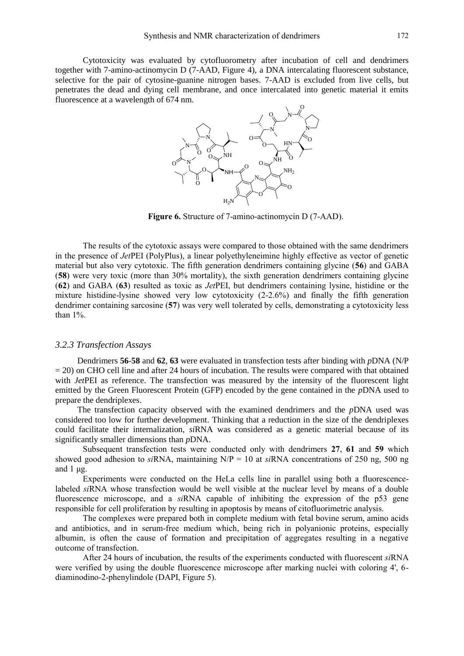Cytotoxicity was evaluated by cytofluorometry after incubation of cell and dendrimers together with 7-amino-actinomycin D (7-AAD, Figure 4), a DNA intercalating fluorescent substance, selective for the pair of cytosine-guanine nitrogen bases. 7-AAD is excluded from live cells, but penetrates the dead and dying cell membrane, and once intercalated into genetic material it emits fluorescence at a wavelength of 674 nm.



**Figure 6.** Structure of 7-amino-actinomycin D (7-AAD).

The results of the cytotoxic assays were compared to those obtained with the same dendrimers in the presence of *Jet*PEI (PolyPlus), a linear polyethyleneimine highly effective as vector of genetic material but also very cytotoxic. The fifth generation dendrimers containing glycine (**56**) and GABA (**58**) were very toxic (more than 30% mortality), the sixth generation dendrimers containing glycine (**62**) and GABA (**63**) resulted as toxic as *Jet*PEI, but dendrimers containing lysine, histidine or the mixture histidine-lysine showed very low cytotoxicity (2-2.6%) and finally the fifth generation dendrimer containing sarcosine (**57**) was very well tolerated by cells, demonstrating a cytotoxicity less than 1%.

# *3.2.3 Transfection Assays*

Dendrimers **56**-**58** and **62**, **63** were evaluated in transfection tests after binding with *p*DNA (N/P  $= 20$ ) on CHO cell line and after 24 hours of incubation. The results were compared with that obtained with *Jet*PEI as reference. The transfection was measured by the intensity of the fluorescent light emitted by the Green Fluorescent Protein (GFP) encoded by the gene contained in the *p*DNA used to prepare the dendriplexes.

The transfection capacity observed with the examined dendrimers and the *p*DNA used was considered too low for further development. Thinking that a reduction in the size of the dendriplexes could facilitate their internalization, *si*RNA was considered as a genetic material because of its significantly smaller dimensions than *p*DNA.

Subsequent transfection tests were conducted only with dendrimers **27**, **61** and **59** which showed good adhesion to *si*RNA, maintaining N/P = 10 at *si*RNA concentrations of 250 ng, 500 ng and  $1 \mu$ g.

Experiments were conducted on the HeLa cells line in parallel using both a fluorescencelabeled *si*RNA whose transfection would be well visible at the nuclear level by means of a double fluorescence microscope, and a *si*RNA capable of inhibiting the expression of the p53 gene responsible for cell proliferation by resulting in apoptosis by means of citofluorimetric analysis.

The complexes were prepared both in complete medium with fetal bovine serum, amino acids and antibiotics, and in serum-free medium which, being rich in polyanionic proteins, especially albumin, is often the cause of formation and precipitation of aggregates resulting in a negative outcome of transfection.

After 24 hours of incubation, the results of the experiments conducted with fluorescent *si*RNA were verified by using the double fluorescence microscope after marking nuclei with coloring 4', 6 diaminodino-2-phenylindole (DAPI, Figure 5).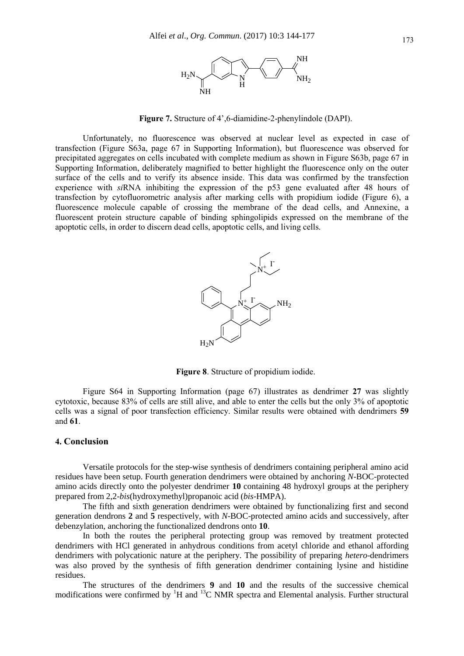

**Figure 7.** Structure of 4',6-diamidine-2-phenylindole (DAPI).

Unfortunately, no fluorescence was observed at nuclear level as expected in case of transfection (Figure S63a, page 67 in Supporting Information), but fluorescence was observed for precipitated aggregates on cells incubated with complete medium as shown in Figure S63b, page 67 in Supporting Information, deliberately magnified to better highlight the fluorescence only on the outer surface of the cells and to verify its absence inside. This data was confirmed by the transfection experience with *si*RNA inhibiting the expression of the p53 gene evaluated after 48 hours of transfection by cytofluorometric analysis after marking cells with propidium iodide (Figure 6), a fluorescence molecule capable of crossing the membrane of the dead cells, and Annexine, a fluorescent protein structure capable of binding sphingolipids expressed on the membrane of the apoptotic cells, in order to discern dead cells, apoptotic cells, and living cells.



**Figure 8**. Structure of propidium iodide.

Figure S64 in Supporting Information (page 67) illustrates as dendrimer **27** was slightly cytotoxic, because 83% of cells are still alive, and able to enter the cells but the only 3% of apoptotic cells was a signal of poor transfection efficiency. Similar results were obtained with dendrimers **59** and **61**.

### **4. Conclusion**

Versatile protocols for the step-wise synthesis of dendrimers containing peripheral amino acid residues have been setup. Fourth generation dendrimers were obtained by anchoring *N*-BOC-protected amino acids directly onto the polyester dendrimer **10** containing 48 hydroxyl groups at the periphery prepared from 2,2-*bis*(hydroxymethyl)propanoic acid (*bis*-HMPA).

The fifth and sixth generation dendrimers were obtained by functionalizing first and second generation dendrons **2** and **5** respectively, with *N*-BOC-protected amino acids and successively, after debenzylation, anchoring the functionalized dendrons onto **10**.

In both the routes the peripheral protecting group was removed by treatment protected dendrimers with HCl generated in anhydrous conditions from acetyl chloride and ethanol affording dendrimers with polycationic nature at the periphery. The possibility of preparing *hetero*-dendrimers was also proved by the synthesis of fifth generation dendrimer containing lysine and histidine residues.

The structures of the dendrimers **9** and **10** and the results of the successive chemical modifications were confirmed by  ${}^{1}H$  and  ${}^{13}C$  NMR spectra and Elemental analysis. Further structural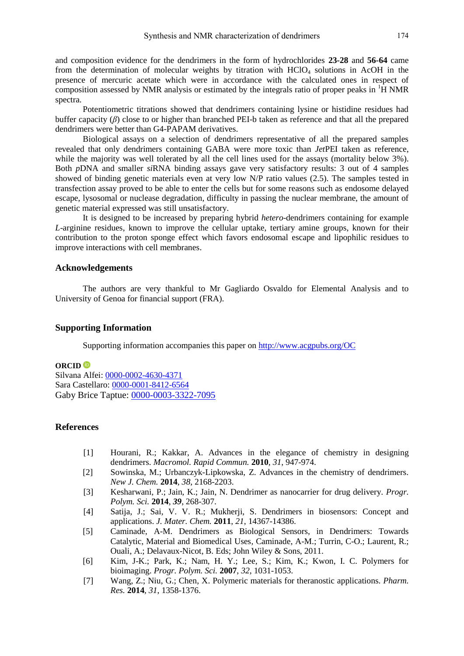and composition evidence for the dendrimers in the form of hydrochlorides **23-28** and **56-64** came from the determination of molecular weights by titration with  $HClO<sub>4</sub>$  solutions in AcOH in the presence of mercuric acetate which were in accordance with the calculated ones in respect of composition assessed by NMR analysis or estimated by the integrals ratio of proper peaks in  ${}^{1}H$  NMR spectra.

Potentiometric titrations showed that dendrimers containing lysine or histidine residues had buffer capacity (*β*) close to or higher than branched PEI-b taken as reference and that all the prepared dendrimers were better than G4-PAPAM derivatives.

Biological assays on a selection of dendrimers representative of all the prepared samples revealed that only dendrimers containing GABA were more toxic than *Jet*PEI taken as reference, while the majority was well tolerated by all the cell lines used for the assays (mortality below 3%). Both *p*DNA and smaller *si*RNA binding assays gave very satisfactory results: 3 out of 4 samples showed of binding genetic materials even at very low N/P ratio values (2.5). The samples tested in transfection assay proved to be able to enter the cells but for some reasons such as endosome delayed escape, lysosomal or nuclease degradation, difficulty in passing the nuclear membrane, the amount of genetic material expressed was still unsatisfactory.

It is designed to be increased by preparing hybrid *hetero*-dendrimers containing for example *L*-arginine residues, known to improve the cellular uptake, tertiary amine groups, known for their contribution to the proton sponge effect which favors endosomal escape and lipophilic residues to improve interactions with cell membranes.

## **Acknowledgements**

The authors are very thankful to Mr Gagliardo Osvaldo for Elemental Analysis and to University of Genoa for financial support (FRA).

# **Supporting Information**

Supporting information accompanies this paper on<http://www.acgpubs.org/OC>

# **ORCID**

Silvana Alfei: [0000-0002-4630-4371](http://orcid.org/0000-0002-4630-4371) Sara Castellaro: [0000-0001-8412-6564](http://orcid.org/0000-0002-5470-130X) Gaby Brice Taptue: [0000-0003-3322-7095](http://orcid.org/0000-0003-3322-7095)

# **References**

- [1] Hourani, R.; Kakkar, A. Advances in the elegance of chemistry in designing dendrimers. *Macromol. Rapid Commun.* **2010**, *31*, 947-974.
- [2] Sowinska, M.; Urbanczyk-Lipkowska, Z. Advances in the chemistry of dendrimers. *New J. Chem.* **2014**, *38*, 2168-2203.
- [3] Kesharwani, P.; Jain, K.; Jain, N. Dendrimer as nanocarrier for drug delivery. *Progr. Polym. Sci.* **2014**, *39*, 268-307.
- [4] Satija, J.; Sai, V. V. R.; Mukherji, S. Dendrimers in biosensors: Concept and applications. *J. Mater. Chem.* **2011**, *21*, 14367-14386.
- [5] Caminade, A-M. Dendrimers as Biological Sensors, in Dendrimers: Towards Catalytic, Material and Biomedical Uses*,* Caminade, A-M.; Turrin, C-O.; Laurent, R.; Ouali, A.; Delavaux-Nicot, B. Eds; John Wiley & Sons, 2011.
- [6] Kim, J-K.; Park, K.; Nam, H. Y.; Lee, S.; Kim, K.; Kwon, I. C. Polymers for bioimaging. *Progr. Polym. Sci.* **2007**, *32*, 1031-1053.
- [7] Wang, Z.; Niu, G.; Chen, X. Polymeric materials for theranostic applications. *Pharm. Res.* **2014**, *31*, 1358-1376.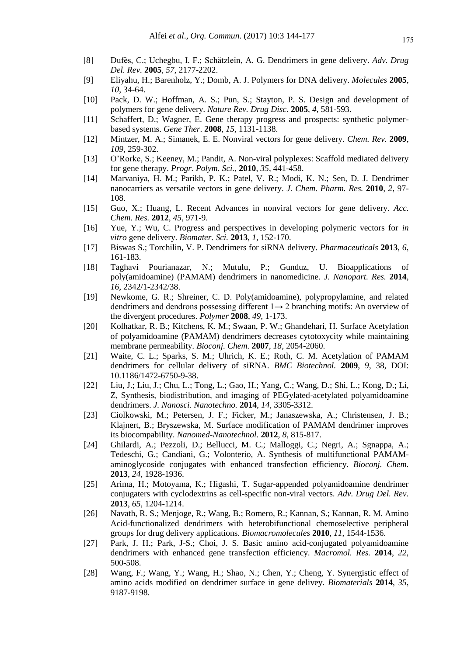- [8] Dufès, C.; Uchegbu, I. F.; Schätzlein, A. G. Dendrimers in gene delivery. *Adv. Drug Del. Rev.* **2005**, *57*, 2177-2202.
- [9] Eliyahu, H.; Barenholz, Y.; Domb, A. J. Polymers for DNA delivery. *Molecules* **2005**, *10*, 34-64.
- [10] Pack, D. W.; Hoffman, A. S.; Pun, S.; Stayton, P. S. Design and development of polymers for gene delivery. *Nature Rev. Drug Disc.* **2005**, *4*, 581-593.
- [11] Schaffert, D.; Wagner, E. Gene therapy progress and prospects: synthetic polymerbased systems. *Gene Ther*. **2008**, *15*, 1131-1138.
- [12] Mintzer, M. A.; Simanek, E. E. Nonviral vectors for gene delivery. *Chem. Rev.* **2009**, *109*, 259-302.
- [13] O'Rorke, S.; Keeney, M.; Pandit, A. Non-viral polyplexes: Scaffold mediated delivery for gene therapy. *Progr. Polym. Sci.*, **2010**, *35*, 441-458.
- [14] Marvaniya, H. M.; Parikh, P. K.; Patel, V. R.; Modi, K. N.; Sen, D. J. Dendrimer nanocarriers as versatile vectors in gene delivery. *J. Chem. Pharm. Res.* **2010**, *2*, 97- 108.
- [15] Guo, X.; Huang, L. Recent Advances in nonviral vectors for gene delivery. *Acc. Chem. Res.* **2012**, *45*, 971-9.
- [16] Yue, Y.; Wu, C. Progress and perspectives in developing polymeric vectors for *in vitro* gene delivery. *Biomater. Sci.* **2013**, *1*, 152-170.
- [17] Biswas S.; Torchilin, V. P. Dendrimers for siRNA delivery. *Pharmaceuticals* **2013**, *6*, 161-183.
- [18] Taghavi Pourianazar, N.; Mutulu, P.; Gunduz, U. Bioapplications of poly(amidoamine) (PAMAM) dendrimers in nanomedicine. *J. Nanopart. Res.* **2014**, *16*, 2342/1-2342/38.
- [19] Newkome, G. R.; Shreiner, C. D. Poly(amidoamine), polypropylamine, and related dendrimers and dendrons possessing different 1→ 2 branching motifs: An overview of the divergent procedures. *Polymer* **2008**, *49*, 1-173.
- [20] Kolhatkar, R. B.; Kitchens, K. M.; Swaan, P. W.; Ghandehari, H. Surface Acetylation of polyamidoamine (PAMAM) dendrimers decreases cytotoxycity while maintaining membrane permeability. *Bioconj. Chem.* **2007**, *18*, 2054-2060.
- [21] Waite, C. L.; Sparks, S. M.; Uhrich, K. E.; Roth, C. M. Acetylation of PAMAM dendrimers for cellular delivery of siRNA. *BMC Biotechnol.* **2009**, *9*, 38, DOI: 10.1186/1472-6750-9-38.
- [22] Liu, J.; Liu, J.; Chu, L.; Tong, L.; Gao, H.; Yang, C.; Wang, D.; Shi, L.; Kong, D.; Li, Z, [Synthesis, biodistribution, and imaging of PEGylated-acetylated polyamidoamine](https://scifinder.cas.org/scifinder/references/answers/76A562E5X86F35099X16F191902112696F0F:76A67CC7X86F35099X309D9CC24690267ACB/8.html?nav=eNpb85aBtYSBMbGEQcXczNHM3NnZPMLCzM3Y1MDSMsLYwNLF0tnZyMTM0sDIzNzR2QmoNKm4iEEwK7EsUS8nMS9dzzOvJDU9tUjo0YIl3xvbLZgYGD0ZWMsSc0pTK4oYBBDq_Epzk1KL2tZMleWe8qCbiYGhooCBAWx3RgmDtGNoiId_ULynX5irXwiQ4ecf7x7kHxrg6edewsCZmVuQX1QCNKG4kKGOgRmojwEomp1bEJRaiCIKAEQTO1w&key=caplus_2014:513024&title=U3ludGhlc2lzLCBiaW9kaXN0cmlidXRpb24sIGFuZCBpbWFnaW5nIG9mIFBFR3lsYXRlZC1hY2V0eWxhdGVkIHBvbHlhbWlkb2FtaW5lIGRlbmRyaW1lcnM&launchSrc=reflist&pageNum=1&sortKey=ACCESSION_NUMBER&sortOrder=DESCENDING)  [dendrimers.](https://scifinder.cas.org/scifinder/references/answers/76A562E5X86F35099X16F191902112696F0F:76A67CC7X86F35099X309D9CC24690267ACB/8.html?nav=eNpb85aBtYSBMbGEQcXczNHM3NnZPMLCzM3Y1MDSMsLYwNLF0tnZyMTM0sDIzNzR2QmoNKm4iEEwK7EsUS8nMS9dzzOvJDU9tUjo0YIl3xvbLZgYGD0ZWMsSc0pTK4oYBBDq_Epzk1KL2tZMleWe8qCbiYGhooCBAWx3RgmDtGNoiId_ULynX5irXwiQ4ecf7x7kHxrg6edewsCZmVuQX1QCNKG4kKGOgRmojwEomp1bEJRaiCIKAEQTO1w&key=caplus_2014:513024&title=U3ludGhlc2lzLCBiaW9kaXN0cmlidXRpb24sIGFuZCBpbWFnaW5nIG9mIFBFR3lsYXRlZC1hY2V0eWxhdGVkIHBvbHlhbWlkb2FtaW5lIGRlbmRyaW1lcnM&launchSrc=reflist&pageNum=1&sortKey=ACCESSION_NUMBER&sortOrder=DESCENDING) *J. Nanosci. Nanotechno.* **2014**, *14*, 3305-3312.
- [23] Ciolkowski, M.; Petersen, J. F.; Ficker, M.; Janaszewska, A.; Christensen, J. B.; Klajnert, B.; Bryszewska, M. Surface modification of PAMAM dendrimer improves its biocompability. *Nanomed-Nanotechnol.* **2012***, 8*, 815-817.
- [24] Ghilardi, A.; Pezzoli, D.; Bellucci, M. C.; Malloggi, C.; Negri, A.; Sgnappa, A.; Tedeschi, G.; Candiani, G.; Volonterio, A. Synthesis of multifunctional PAMAMaminoglycoside conjugates with enhanced transfection efficiency. *Bioconj. Chem.* **2013**, *24*, 1928-1936.
- [25] Arima, H.; Motoyama, K.; Higashi, T. Sugar-appended polyamidoamine dendrimer conjugaters with cyclodextrins as cell-specific non-viral vectors. *Adv. Drug Del. Rev.* **2013**, *65*, 1204-1214.
- [26] Navath, R. S.; Menjoge, R.; Wang, B.; Romero, R.; Kannan, S.; Kannan, R. M. Amino Acid-functionalized dendrimers with heterobifunctional chemoselective peripheral groups for drug delivery applications. *Biomacromolecules* **2010**, *11*, 1544-1536.
- [27] Park, J. H.; Park, J-S.; Choi, J. S. Basic amino acid-conjugated polyamidoamine dendrimers with enhanced gene transfection efficiency. *Macromol. Res.* **2014**, *22*, 500-508.
- [28] Wang, F.; Wang, Y.; Wang, H.; Shao, N.; Chen, Y.; Cheng, Y. Synergistic effect of amino acids modified on dendrimer surface in gene delivey. *Biomaterials* **2014**, *35*, 9187-9198.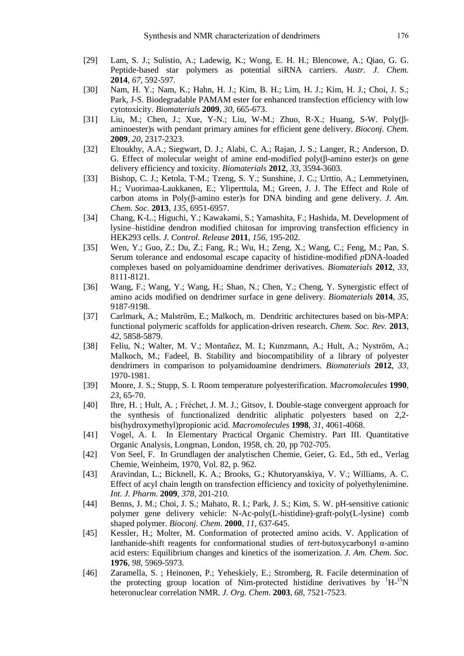- [29] Lam, S. J.; Sulistio, A.; Ladewig, K.; Wong, E. H. H.; Blencowe, A.; Qiao, G. G. [Peptide-based star polymers as potential siRNA carriers.](https://scifinder.cas.org/scifinder/references/answers/7726B0BCX86F35099X63FF08E5382D1F8610:7734CCECX86F35099X4E39027F4DD0FE7B43/5.html?nav=eNpb85aBtYSBMbGEQcXc3NjE2dnVOcLCzM3Y1MDSMsLE1djSwMjczcTFxcDN1dzJxBioNKm4iEEwK7EsUS8nMS9dzzOvJDU9tUjo0YIl3xvbLZgYGD0ZWMsSc0pTK4oYBBDq_Epzk1KL2tZMleWe8qCbiYGhooCBgYENaGBGCYO0Y2iIh39QvKdfmKtfCJDh5x_vHuQfGuDp517CwJmZW5BfVAI0obiQoY6BGaiPASianVsQlFqIIgoAWFQ7eg&key=caplus_2014:569377&title=UGVwdGlkZS1CYXNlZCBTdGFyIFBvbHltZXJzIGFzIFBvdGVudGlhbCBzaVJOQSBDYXJyaWVycw&launchSrc=reflist&pageNum=1&sortKey=ACCESSION_NUMBER&sortOrder=DESCENDING) *Austr. J. Chem.* **2014**, *67*, 592-597.
- [30] Nam, H. Y.; Nam, K.; Hahn, H. J.; Kim, B. H.; Lim, H. J.; Kim, H. J.; Choi, J. S.; Park, J-S. Biodegradable PAMAM ester for enhanced transfection efficiency with low cytotoxicity. *Biomaterials* **2009**, *30*, 665-673.
- [31] Liu, M.; Chen, J.; Xue, Y-N.; Liu, W-M.; Zhuo, R-X.; Huang, S-W. Poly( $\beta$ aminoester)s with pendant primary amines for efficient gene delivery. *Bioconj. Chem.* **2009**, *20*, 2317-2323.
- [32] Eltoukhy, A.A.; Siegwart, D. J.; Alabi, C. A.; Rajan, J. S.; Langer, R.; Anderson, D. G. Effect of molecular weight of amine end-modified  $poly(\beta\text{-amino est})$  on gene delivery efficiency and toxicity. *Biomaterials* **2012**, *33*, 3594-3603.
- [33] Bishop, C. J.; Ketola, T-M.; Tzeng, S. Y.; Sunshine, J. C.; Urttio, A.; Lemmetyinen, H.; Vuorimaa-Laukkanen, E.; Yliperttula, M.; Green, J. J. The Effect and Role of carbon atoms in Poly(β-amino ester)s for DNA binding and gene delivery. *J. Am. Chem. Soc.* **2013**, *135*, 6951-6957.
- [34] Chang, K-L.; Higuchi, Y.; Kawakami, S.; Yamashita, F.; Hashida, M. Development of lysine–histidine dendron modified chitosan for improving transfection efficiency in HEK293 cells. *J. Control. Release* **2011**, *156*, 195-202.
- [35] Wen, Y.; Guo, Z.; Du, Z.; Fang, R.; Wu, H.; Zeng, X.; Wang, C.; Feng, M.; Pan, S. Serum tolerance and endosomal escape capacity of histidine-modified *p*DNA-loaded complexes based on polyamidoamine dendrimer derivatives. *Biomaterials* **2012**, *33*, 8111-8121.
- [36] Wang, F.; Wang, Y.; Wang, H.; Shao, N.; Chen, Y.; Cheng, Y. Synergistic effect of amino acids modified on dendrimer surface in gene delivery. *Biomaterials* **2014**, *35*, 9187-9198.
- [37] Carlmark, A.; Malström, E.; Malkoch, m. Dendritic architectures based on bis-MPA: functional polymeric scaffolds for application-driven research. *Chem. Soc. Rev.* **2013**, *42*, 5858-5879.
- [38] Feliu, N.; Walter, M. V.; Montañez, M. I.; Kunzmann, A.; Hult, A.; Nyström, A.; Malkoch, M.; Fadeel, B. Stability and biocompatibility of a library of polyester dendrimers in comparison to polyamidoamine dendrimers. *Biomaterials* **2012**, *33*, 1970-1981.
- [39] Moore, J. S.; Stupp, S. I. Room temperature polyesterification. *Macromolecules* **1990**, *23*, 65-70.
- [40] Ihre, H. ; Hult, A. ; Fréchet, J. M. J.; Gitsov, I. Double-stage convergent approach for the synthesis of functionalized dendritic aliphatic polyesters based on 2,2 bis(hydroxymethyl)propionic acid. *Macromolecules* **1998**, *31*, 4061-4068.
- [41] Vogel, A. I. In Elementary Practical Organic Chemistry. Part III. Quantitative Organic Analysis, Longman, London, 1958, ch. 20, pp 702-705.
- [42] Von Seel, F. In Grundlagen der analytischen Chemie, Geier, G. Ed., 5th ed., Verlag Chemie, Weinheim, 1970, Vol. 82, p. 962.
- [43] Aravindan, L.; Bicknell, K. A.; Brooks, G.; Khutoryanskiya, V. V.; Williams, A. C. Effect of acyl chain length on transfection efficiency and toxicity of polyethylenimine. *Int. J. Pharm*. **2009**, *378*, 201-210.
- [44] Benns, J. M.; Choi, J. S.; Mahato, R. I.; Park, J. S.; Kim, S. W. pH-sensitive cationic polymer gene delivery vehicle: N-Ac-poly(L-histidine)-graft-poly(L-lysine) comb shaped polymer. *Bioconj. Chem*. **2000**, *11*, 637-645.
- [45] Kessler, H.; Molter, M. Conformation of protected amino acids. V. Application of lanthanide-shift reagents for conformational studies of *tert*-butoxycarbonyl α-amino acid esters: Equilibrium changes and kinetics of the isomerization. *J. Am. Chem. Soc.*  **1976**, *98*, 5969-5973.
- [46] Zaramella, S. ; Heinonen, P.; Yeheskiely, E.; Stromberg, R. Facile determination of the protecting group location of Nim-protected histidine derivatives by  $H^{-15}N$ heteronuclear correlation NMR. *J. Org. Chem*. **2003**, *68*, 7521-7523.